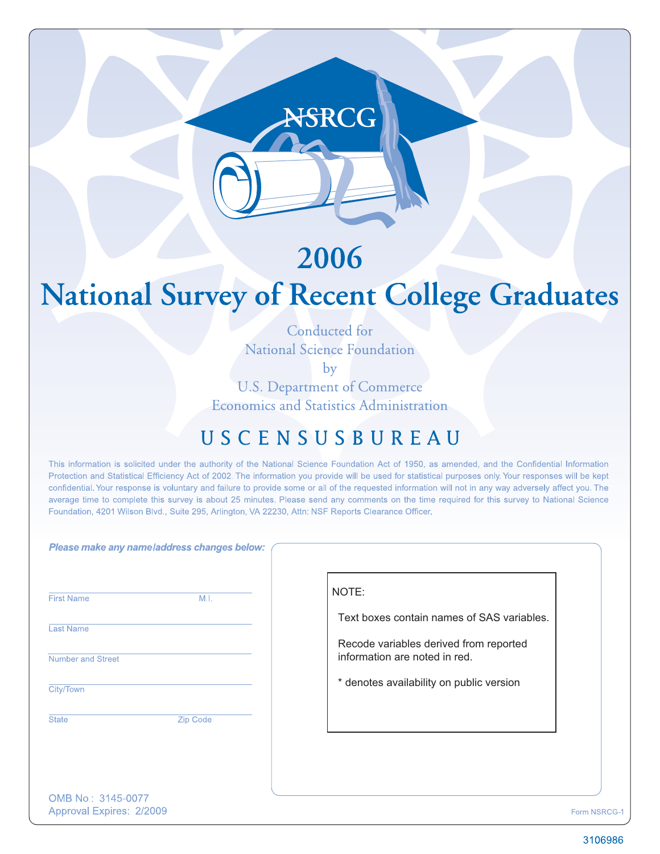## 2006

NSRCG

# **National Survey of Recent College Graduates**

Conducted for **National Science Foundation** 

by

**U.S. Department of Commerce Economics and Statistics Administration** 

## USCENSUSBUREAU

This information is solicited under the authority of the National Science Foundation Act of 1950, as amended, and the Confidential Information Protection and Statistical Efficiency Act of 2002. The information you provide will be used for statistical purposes only. Your responses will be kept confidential. Your response is voluntary and failure to provide some or all of the requested information will not in any way adversely affect you. The average time to complete this survey is about 25 minutes. Please send any comments on the time required for this survey to National Science Foundation, 4201 Wilson Blvd., Suite 295, Arlington, VA 22230, Attn: NSF Reports Clearance Officer.

|                          | Please make any name/address changes below: |                                                                         |
|--------------------------|---------------------------------------------|-------------------------------------------------------------------------|
| <b>First Name</b>        | M.I.                                        | NOTE:                                                                   |
| <b>Last Name</b>         |                                             | Text boxes contain names of SAS variables.                              |
| <b>Number and Street</b> |                                             | Recode variables derived from reported<br>information are noted in red. |
| City/Town                |                                             | * denotes availability on public version                                |
| <b>State</b>             | Zip Code                                    |                                                                         |
|                          |                                             |                                                                         |
| OMB No.: 3145-0077       |                                             |                                                                         |

Approval Expires: 2/2009

3106986

Form NSRCG-1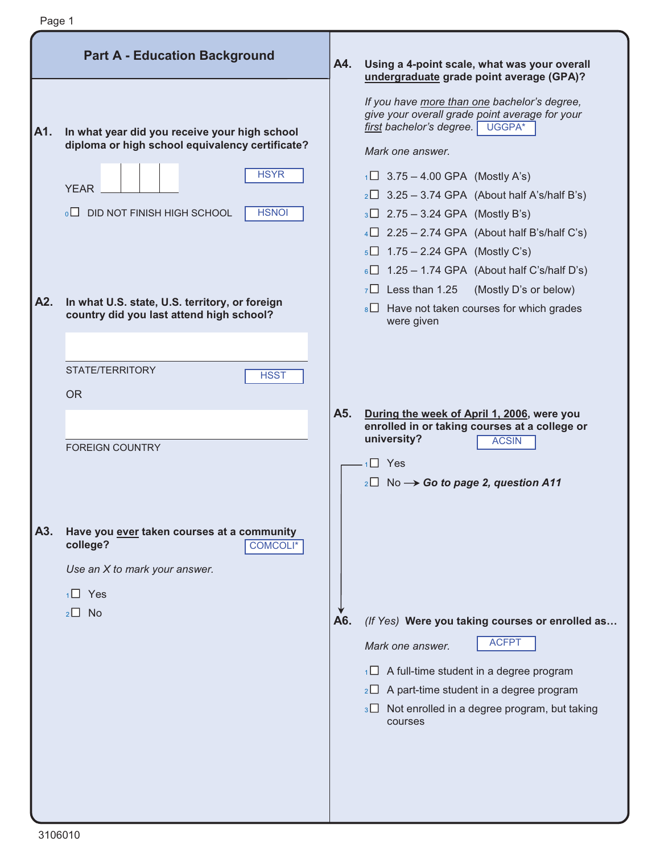|     | Page 1                                                                                                                                                                                 |     |                                                                                                                                                                                                                                                                                                                                                                                                                |
|-----|----------------------------------------------------------------------------------------------------------------------------------------------------------------------------------------|-----|----------------------------------------------------------------------------------------------------------------------------------------------------------------------------------------------------------------------------------------------------------------------------------------------------------------------------------------------------------------------------------------------------------------|
|     | <b>Part A - Education Background</b>                                                                                                                                                   | A4. | Using a 4-point scale, what was your overall<br>undergraduate grade point average (GPA)?                                                                                                                                                                                                                                                                                                                       |
| A1. | In what year did you receive your high school<br>diploma or high school equivalency certificate?<br><b>HSYR</b><br><b>YEAR</b><br><b>HSNOI</b><br>$\Box$<br>DID NOT FINISH HIGH SCHOOL |     | If you have more than one bachelor's degree,<br>give your overall grade point average for your<br>first bachelor's degree.<br>UGGPA*<br>Mark one answer.<br>$1 \square$ 3.75 – 4.00 GPA (Mostly A's)<br>$2 \square$ 3.25 – 3.74 GPA (About half A's/half B's)<br>$3\Box$ 2.75 – 3.24 GPA (Mostly B's)<br>$4\Box$ 2.25 – 2.74 GPA (About half B's/half C's)<br>$1.75 - 2.24$ GPA (Mostly C's)<br>5 <sup>1</sup> |
| A2. | In what U.S. state, U.S. territory, or foreign<br>country did you last attend high school?                                                                                             |     | $6\Box$ 1.25 – 1.74 GPA (About half C's/half D's)<br>$7\Box$ Less than 1.25<br>(Mostly D's or below)<br>$8\Box$ Have not taken courses for which grades<br>were given                                                                                                                                                                                                                                          |
|     | STATE/TERRITORY<br><b>HSST</b><br><b>OR</b>                                                                                                                                            |     |                                                                                                                                                                                                                                                                                                                                                                                                                |
|     | <b>FOREIGN COUNTRY</b>                                                                                                                                                                 | A5. | During the week of April 1, 2006, were you<br>enrolled in or taking courses at a college or<br>university?<br><b>ACSIN</b><br>$1 \square$ Yes<br>$_2\square$ No $\rightarrow$ Go to page 2, question A11                                                                                                                                                                                                       |
| A3. | Have you ever taken courses at a community<br>college?<br><b>COMCOLI*</b><br>Use an X to mark your answer.<br>$1 \square$ Yes<br>$2 \Box$ No                                           | A6. | (If Yes) Were you taking courses or enrolled as<br><b>ACFPT</b><br>Mark one answer.<br>A full-time student in a degree program<br>1 <sup>1</sup><br>$_2\square$ A part-time student in a degree program<br>$3\Box$ Not enrolled in a degree program, but taking<br>courses                                                                                                                                     |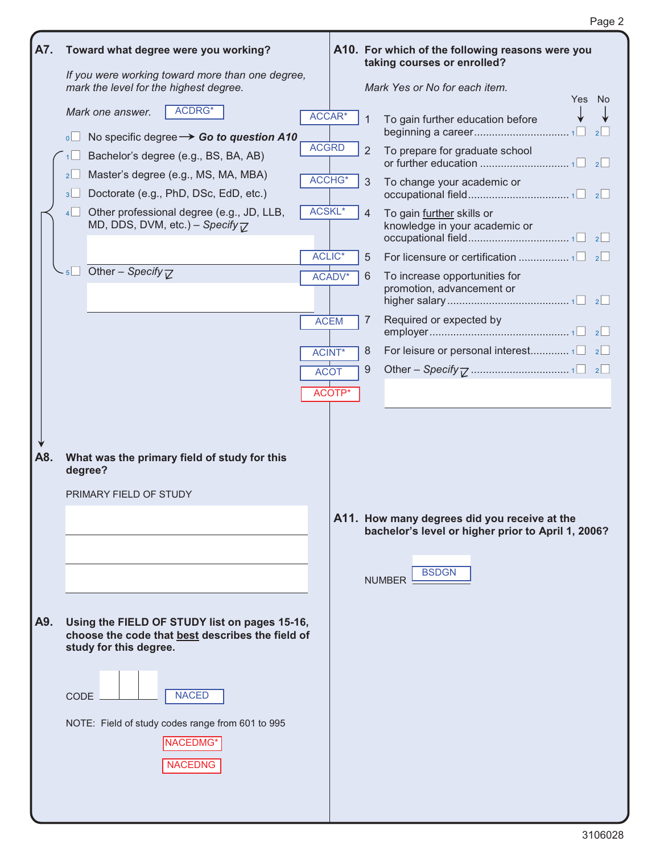| A7.        |                     | Toward what degree were you working?                                                                                                                                                                             |              |                    |   | A10. For which of the following reasons were you<br>taking courses or enrolled?                                                     |
|------------|---------------------|------------------------------------------------------------------------------------------------------------------------------------------------------------------------------------------------------------------|--------------|--------------------|---|-------------------------------------------------------------------------------------------------------------------------------------|
|            |                     | If you were working toward more than one degree,<br>mark the level for the highest degree.                                                                                                                       |              |                    |   | Mark Yes or No for each item.                                                                                                       |
|            |                     | ACDRG*<br>Mark one answer.                                                                                                                                                                                       | ACCAR*       |                    | 1 | Yes No<br>To gain further education before                                                                                          |
|            | $\overline{\circ}$  | No specific degree $\rightarrow$ Go to question A10                                                                                                                                                              | <b>ACGRD</b> |                    |   | 2                                                                                                                                   |
|            |                     | Bachelor's degree (e.g., BS, BA, AB)                                                                                                                                                                             |              |                    | 2 | To prepare for graduate school                                                                                                      |
|            | 2                   | Master's degree (e.g., MS, MA, MBA)                                                                                                                                                                              |              | ACCHG*             | 3 | To change your academic or                                                                                                          |
|            | 3 <sup>1</sup><br>4 | Doctorate (e.g., PhD, DSc, EdD, etc.)<br>Other professional degree (e.g., JD, LLB,                                                                                                                               | ACSKL*       |                    | 4 | To gain further skills or                                                                                                           |
|            |                     | MD, DDS, DVM, etc.) - Specify $\nabla$                                                                                                                                                                           |              |                    |   | knowledge in your academic or                                                                                                       |
|            |                     |                                                                                                                                                                                                                  |              | ACLIC <sup>*</sup> | 5 |                                                                                                                                     |
|            |                     | $-5$ Other – Specify $\nabla$                                                                                                                                                                                    |              | ACADV*             | 6 | To increase opportunities for<br>promotion, advancement or                                                                          |
|            |                     |                                                                                                                                                                                                                  |              | <b>ACEM</b>        | 7 | Required or expected by                                                                                                             |
|            |                     |                                                                                                                                                                                                                  |              | <b>ACINT*</b>      | 8 |                                                                                                                                     |
|            |                     |                                                                                                                                                                                                                  | <b>ACOT</b>  |                    | 9 |                                                                                                                                     |
|            |                     |                                                                                                                                                                                                                  |              | ACOTP*             |   |                                                                                                                                     |
| A8.<br>A9. |                     | What was the primary field of study for this<br>degree?<br>PRIMARY FIELD OF STUDY<br>Using the FIELD OF STUDY list on pages 15-16,<br>choose the code that best describes the field of<br>study for this degree. |              |                    |   | A11. How many degrees did you receive at the<br>bachelor's level or higher prior to April 1, 2006?<br><b>BSDGN</b><br><b>NUMBER</b> |
|            | CODE                | <b>NACED</b><br>NOTE: Field of study codes range from 601 to 995<br>NACEDMG*<br><b>NACEDNG</b>                                                                                                                   |              |                    |   |                                                                                                                                     |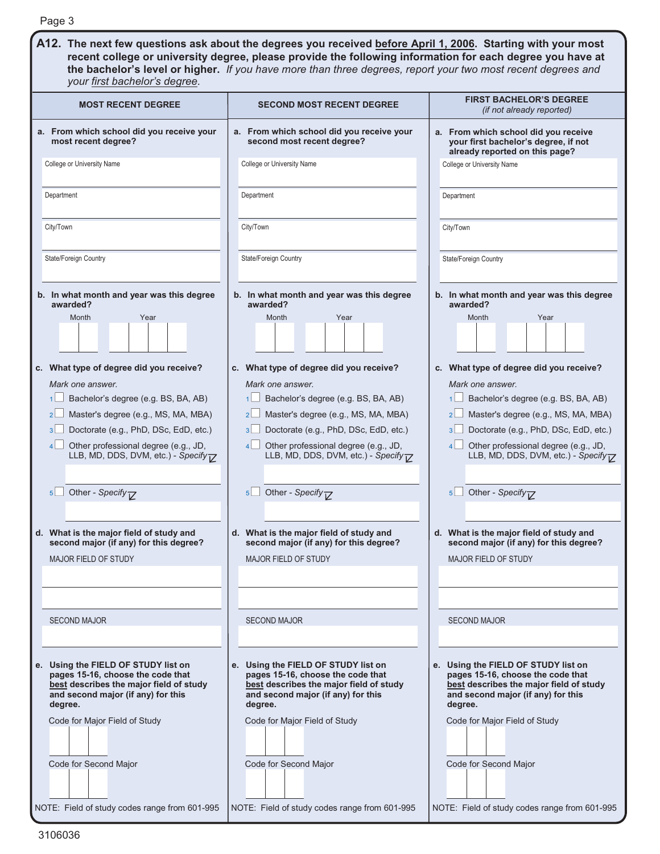| Page 3                                                                                                                                                                                                                                                                                                                                                                                                                                                                                                                                                                          |                                                                                                                                                                                                                                                                                                                                                                                                                                                                                                                                                                                        |                                                                                                                                                                                                                                                                                                                                                                                                                                                                                                                                                                               |
|---------------------------------------------------------------------------------------------------------------------------------------------------------------------------------------------------------------------------------------------------------------------------------------------------------------------------------------------------------------------------------------------------------------------------------------------------------------------------------------------------------------------------------------------------------------------------------|----------------------------------------------------------------------------------------------------------------------------------------------------------------------------------------------------------------------------------------------------------------------------------------------------------------------------------------------------------------------------------------------------------------------------------------------------------------------------------------------------------------------------------------------------------------------------------------|-------------------------------------------------------------------------------------------------------------------------------------------------------------------------------------------------------------------------------------------------------------------------------------------------------------------------------------------------------------------------------------------------------------------------------------------------------------------------------------------------------------------------------------------------------------------------------|
| your first bachelor's degree.                                                                                                                                                                                                                                                                                                                                                                                                                                                                                                                                                   | A12. The next few questions ask about the degrees you received before April 1, 2006. Starting with your most<br>recent college or university degree, please provide the following information for each degree you have at<br>the bachelor's level or higher. If you have more than three degrees, report your two most recent degrees and                                                                                                                                                                                                                                              |                                                                                                                                                                                                                                                                                                                                                                                                                                                                                                                                                                               |
| <b>MOST RECENT DEGREE</b>                                                                                                                                                                                                                                                                                                                                                                                                                                                                                                                                                       | <b>SECOND MOST RECENT DEGREE</b>                                                                                                                                                                                                                                                                                                                                                                                                                                                                                                                                                       | <b>FIRST BACHELOR'S DEGREE</b><br>(if not already reported)                                                                                                                                                                                                                                                                                                                                                                                                                                                                                                                   |
| a. From which school did you receive your<br>most recent degree?<br>College or University Name                                                                                                                                                                                                                                                                                                                                                                                                                                                                                  | a. From which school did you receive your<br>second most recent degree?<br>College or University Name                                                                                                                                                                                                                                                                                                                                                                                                                                                                                  | a. From which school did you receive<br>your first bachelor's degree, if not<br>already reported on this page?<br>College or University Name                                                                                                                                                                                                                                                                                                                                                                                                                                  |
| Department                                                                                                                                                                                                                                                                                                                                                                                                                                                                                                                                                                      | Department                                                                                                                                                                                                                                                                                                                                                                                                                                                                                                                                                                             | Department                                                                                                                                                                                                                                                                                                                                                                                                                                                                                                                                                                    |
|                                                                                                                                                                                                                                                                                                                                                                                                                                                                                                                                                                                 |                                                                                                                                                                                                                                                                                                                                                                                                                                                                                                                                                                                        |                                                                                                                                                                                                                                                                                                                                                                                                                                                                                                                                                                               |
| City/Town                                                                                                                                                                                                                                                                                                                                                                                                                                                                                                                                                                       | City/Town                                                                                                                                                                                                                                                                                                                                                                                                                                                                                                                                                                              | City/Town                                                                                                                                                                                                                                                                                                                                                                                                                                                                                                                                                                     |
| <b>State/Foreign Country</b>                                                                                                                                                                                                                                                                                                                                                                                                                                                                                                                                                    | State/Foreign Country                                                                                                                                                                                                                                                                                                                                                                                                                                                                                                                                                                  | State/Foreign Country                                                                                                                                                                                                                                                                                                                                                                                                                                                                                                                                                         |
| b. In what month and year was this degree<br>awarded?<br>Month<br>Year<br>c. What type of degree did you receive?<br>Mark one answer.<br>Bachelor's degree (e.g. BS, BA, AB)<br>Master's degree (e.g., MS, MA, MBA)<br>2 <sub>2</sub><br>Doctorate (e.g., PhD, DSc, EdD, etc.)<br>3 <sup>l</sup><br>Other professional degree (e.g., JD,<br>4 <sup>1</sup><br>LLB, MD, DDS, DVM, etc.) - Specify T<br>Other - Specify <sub><math>77</math></sub><br>$5\Box$<br>d. What is the major field of study and<br>second major (if any) for this degree?<br><b>MAJOR FIELD OF STUDY</b> | b. In what month and year was this degree<br>awarded?<br>Month<br>Year<br>c. What type of degree did you receive?<br>Mark one answer.<br>Bachelor's degree (e.g. BS, BA, AB)<br>1 <sup>1</sup><br>Master's degree (e.g., MS, MA, MBA)<br>2 <sup>1</sup><br>Doctorate (e.g., PhD, DSc, EdD, etc.)<br>3 <sup>1</sup><br>Other professional degree (e.g., JD,<br>$\vert$<br>LLB, MD, DDS, DVM, etc.) - Specify TZ<br>Other - Specify $\overline{C}$<br>5 <sup>1</sup><br>d. What is the major field of study and<br>second major (if any) for this degree?<br><b>MAJOR FIELD OF STUDY</b> | b. In what month and year was this degree<br>awarded?<br>Month<br>Year<br>c. What type of degree did you receive?<br>Mark one answer.<br>Bachelor's degree (e.g. BS, BA, AB)<br>Master's degree (e.g., MS, MA, MBA)<br>2 <sub>2</sub><br>Doctorate (e.g., PhD, DSc, EdD, etc.)<br>3<br>Other professional degree (e.g., JD,<br>4<br>LLB, MD, DDS, DVM, etc.) - Specify <sub>V</sub><br>Other - Specify <sub><math>\overline{7}</math></sub><br>$5$ $\Box$<br>d. What is the major field of study and<br>second major (if any) for this degree?<br><b>MAJOR FIELD OF STUDY</b> |
| <b>SECOND MAJOR</b>                                                                                                                                                                                                                                                                                                                                                                                                                                                                                                                                                             | <b>SECOND MAJOR</b>                                                                                                                                                                                                                                                                                                                                                                                                                                                                                                                                                                    | <b>SECOND MAJOR</b>                                                                                                                                                                                                                                                                                                                                                                                                                                                                                                                                                           |
| e. Using the FIELD OF STUDY list on<br>pages 15-16, choose the code that<br>best describes the major field of study<br>and second major (if any) for this<br>degree.                                                                                                                                                                                                                                                                                                                                                                                                            | e. Using the FIELD OF STUDY list on<br>pages 15-16, choose the code that<br>best describes the major field of study<br>and second major (if any) for this<br>degree.                                                                                                                                                                                                                                                                                                                                                                                                                   | e. Using the FIELD OF STUDY list on<br>pages 15-16, choose the code that<br>best describes the major field of study<br>and second major (if any) for this<br>degree.                                                                                                                                                                                                                                                                                                                                                                                                          |
| Code for Major Field of Study                                                                                                                                                                                                                                                                                                                                                                                                                                                                                                                                                   | Code for Major Field of Study                                                                                                                                                                                                                                                                                                                                                                                                                                                                                                                                                          | Code for Major Field of Study                                                                                                                                                                                                                                                                                                                                                                                                                                                                                                                                                 |
| Code for Second Major                                                                                                                                                                                                                                                                                                                                                                                                                                                                                                                                                           | Code for Second Major                                                                                                                                                                                                                                                                                                                                                                                                                                                                                                                                                                  | Code for Second Major                                                                                                                                                                                                                                                                                                                                                                                                                                                                                                                                                         |
| NOTE: Field of study codes range from 601-995                                                                                                                                                                                                                                                                                                                                                                                                                                                                                                                                   | NOTE: Field of study codes range from 601-995                                                                                                                                                                                                                                                                                                                                                                                                                                                                                                                                          | NOTE: Field of study codes range from 601-995                                                                                                                                                                                                                                                                                                                                                                                                                                                                                                                                 |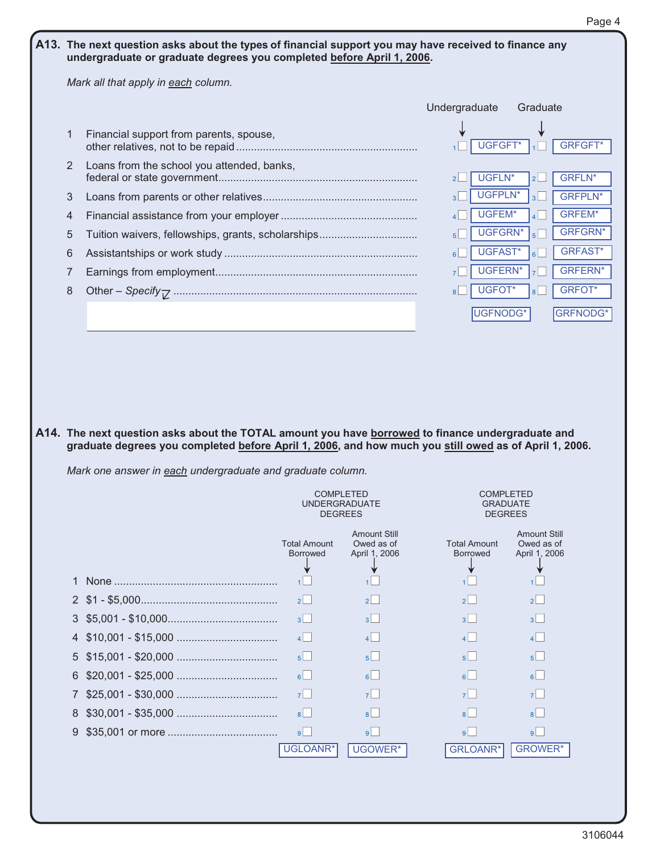#### A13. The next question asks about the types of financial support you may have received to finance any **undergraduate or graduate degrees you completed before April 1, 2006.**

*Mark all that apply in each column.* 

|                                                            |                                                                                                                                                                                                            |                                        |                                                       | Undergraduate                          | Graduate                         |
|------------------------------------------------------------|------------------------------------------------------------------------------------------------------------------------------------------------------------------------------------------------------------|----------------------------------------|-------------------------------------------------------|----------------------------------------|----------------------------------|
| $\mathbf{1}$                                               | Financial support from parents, spouse,                                                                                                                                                                    |                                        |                                                       | UGFGFT*<br>1 <sup>1</sup>              | <b>GRFGFT*</b>                   |
| $\overline{2}$                                             | Loans from the school you attended, banks,                                                                                                                                                                 |                                        |                                                       | UGFLN*<br>2 <sup>2</sup>               | <b>GRFLN*</b><br>2 <sup>l</sup>  |
| 3                                                          |                                                                                                                                                                                                            |                                        |                                                       | UGFPLN*<br>$\vert$ 3                   | <b>GRFPLN*</b><br>3 <sup>l</sup> |
| 4                                                          |                                                                                                                                                                                                            |                                        |                                                       | UGFEM*<br>$\overline{4}$               | <b>GRFEM*</b><br>4 <sup>1</sup>  |
| 5                                                          | Tuition waivers, fellowships, grants, scholarships                                                                                                                                                         |                                        |                                                       | UGFGRN*<br>5 <sup>l</sup>              | <b>GRFGRN*</b><br>5 <sup>1</sup> |
| 6                                                          |                                                                                                                                                                                                            |                                        |                                                       | UGFAST*<br>6 <sup>l</sup>              | <b>GRFAST*</b><br>6 <sup>l</sup> |
| 7                                                          |                                                                                                                                                                                                            |                                        |                                                       | UGFERN*<br>7 <sup>1</sup>              | <b>GRFERN*</b><br>7 <sup>1</sup> |
| 8                                                          |                                                                                                                                                                                                            |                                        |                                                       | UGFOT*<br>$\mathsf{B} \mathsf{I}$      | <b>GRFOT*</b><br>8 <sup>l</sup>  |
|                                                            |                                                                                                                                                                                                            |                                        |                                                       | UGFNODG*                               | <b>GRFNODG*</b>                  |
|                                                            | A14. The next question asks about the TOTAL amount you have borrowed to finance undergraduate and<br>graduate degrees you completed before April 1, 2006, and how much you still owed as of April 1, 2006. |                                        |                                                       |                                        |                                  |
|                                                            | Mark one answer in each undergraduate and graduate column.                                                                                                                                                 |                                        |                                                       |                                        |                                  |
| <b>COMPLETED</b><br><b>UNDERGRADUATE</b><br><b>DEGREES</b> |                                                                                                                                                                                                            | <b>Amount Still</b>                    | <b>COMPLETED</b><br><b>GRADUATE</b><br><b>DEGREES</b> | <b>Amount Still</b>                    |                                  |
|                                                            |                                                                                                                                                                                                            | <b>Total Amount</b><br><b>Borrowed</b> | Owed as of<br>April 1, 2006                           | <b>Total Amount</b><br><b>Borrowed</b> | Owed as of<br>April 1, 2006      |

|  | <b>Borrowed</b>      | April 1, 2006  | <b>Borrowed</b> | April 1, 2006  |
|--|----------------------|----------------|-----------------|----------------|
|  |                      |                |                 |                |
|  |                      |                |                 |                |
|  | $2^{\vert}$          | $2^{\vert}$    | $\mathbf{P}$    | $2$            |
|  | 3 <sup>1</sup>       | 3 <sup>1</sup> | 3 <sup>1</sup>  | 3 <sup>1</sup> |
|  |                      | $\vert$        | $\mathbf{A}$    | 4              |
|  | 5 <sup>1</sup>       | 5 <sup>1</sup> | 5 <sup>1</sup>  | $5^{\circ}$    |
|  | $\mathsf{B}$         | $6 \mid$       | 6               | $6$            |
|  | $7$                  |                | $\mathbf{z}$    | $7$            |
|  | $\mathbf{a}$         | $\mathbf{R}$   | $\vert$ 8       | $8$            |
|  | $\overline{9}$       | $\mathsf{q}$   | $\overline{9}$  | 9              |
|  | UGLOANR <sup>*</sup> | UGOWER*        | GRLOANR*        | <b>GROWER*</b> |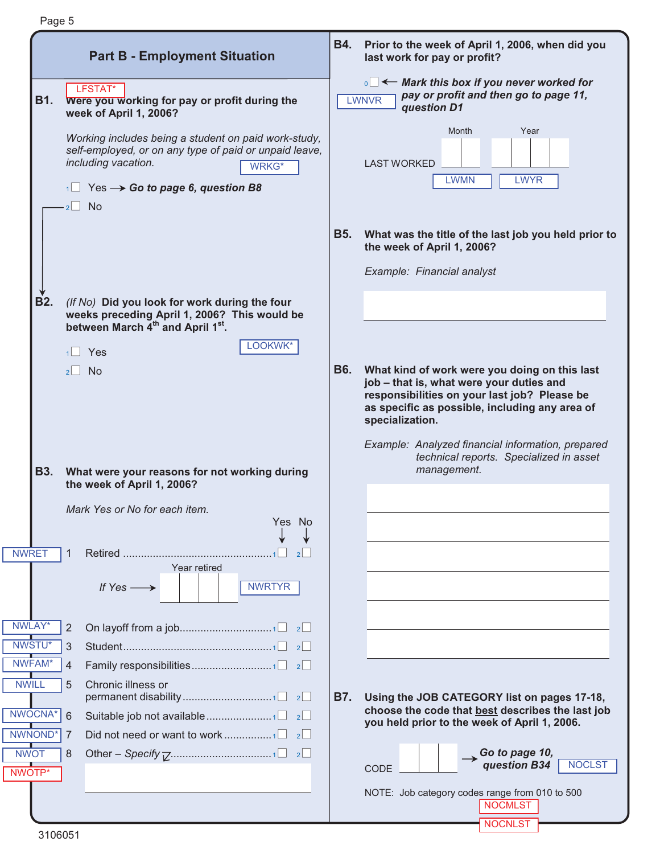|                       | <b>Part B - Employment Situation</b>                                                                                                                       | <b>B4.</b> | Prior to the week of April 1, 2006, when did you<br>last work for pay or profit?                                                                                                                               |
|-----------------------|------------------------------------------------------------------------------------------------------------------------------------------------------------|------------|----------------------------------------------------------------------------------------------------------------------------------------------------------------------------------------------------------------|
| <b>B1.</b>            | LFSTAT*<br>Were you working for pay or profit during the<br>week of April 1, 2006?                                                                         |            | $\overline{\mathbf{I}}$ Mark this box if you never worked for<br>pay or profit and then go to page 11,<br><b>LWNVR</b><br>question D1                                                                          |
|                       | Working includes being a student on paid work-study,<br>self-employed, or on any type of paid or unpaid leave,<br>including vacation.<br><b>WRKG*</b>      |            | Month<br>Year<br><b>LAST WORKED</b>                                                                                                                                                                            |
|                       | Yes $\rightarrow$ Go to page 6, question B8<br>$2 \Box$ No                                                                                                 |            | <b>LWMN</b><br><b>LWYR</b>                                                                                                                                                                                     |
|                       |                                                                                                                                                            | <b>B5.</b> | What was the title of the last job you held prior to<br>the week of April 1, 2006?                                                                                                                             |
|                       |                                                                                                                                                            |            | Example: Financial analyst                                                                                                                                                                                     |
| <b>B2.</b>            | (If No) Did you look for work during the four<br>weeks preceding April 1, 2006? This would be<br>between March 4 <sup>th</sup> and April 1 <sup>st</sup> . |            |                                                                                                                                                                                                                |
|                       | LOOKWK*<br>Yes<br>1                                                                                                                                        |            |                                                                                                                                                                                                                |
|                       | $2 \Box$ No                                                                                                                                                | <b>B6.</b> | What kind of work were you doing on this last<br>job - that is, what were your duties and<br>responsibilities on your last job? Please be<br>as specific as possible, including any area of<br>specialization. |
| <b>B3.</b>            | What were your reasons for not working during                                                                                                              |            | Example: Analyzed financial information, prepared<br>technical reports. Specialized in asset<br>management.                                                                                                    |
|                       | the week of April 1, 2006?<br>Mark Yes or No for each item.                                                                                                |            |                                                                                                                                                                                                                |
|                       | Yes No                                                                                                                                                     |            |                                                                                                                                                                                                                |
| <b>NWRET</b>          | 1<br>Year retired                                                                                                                                          |            |                                                                                                                                                                                                                |
|                       | If $Yes \longrightarrow$<br><b>NWRTYR</b>                                                                                                                  |            |                                                                                                                                                                                                                |
| NWLAY*                | 2                                                                                                                                                          |            |                                                                                                                                                                                                                |
| NWSTU*                | 3                                                                                                                                                          |            |                                                                                                                                                                                                                |
| NWFAM*                | Family responsibilities1 2<br>4                                                                                                                            |            |                                                                                                                                                                                                                |
| <b>NWILL</b>          | 5<br>Chronic illness or                                                                                                                                    | <b>B7.</b> | Using the JOB CATEGORY list on pages 17-18,                                                                                                                                                                    |
| NWOCNA*               | 6                                                                                                                                                          |            | choose the code that best describes the last job<br>you held prior to the week of April 1, 2006.                                                                                                               |
| NWNOND*               | 7                                                                                                                                                          |            |                                                                                                                                                                                                                |
| <b>NWOT</b><br>NWOTP* | 8                                                                                                                                                          |            | $\rightarrow$ Go to page 10,<br>question B34<br><b>NOCLST</b><br><b>CODE</b>                                                                                                                                   |
|                       |                                                                                                                                                            |            | NOTE: Job category codes range from 010 to 500<br><b>NOCMLST</b>                                                                                                                                               |
|                       | 0.005                                                                                                                                                      |            | <b>NOCNLST</b>                                                                                                                                                                                                 |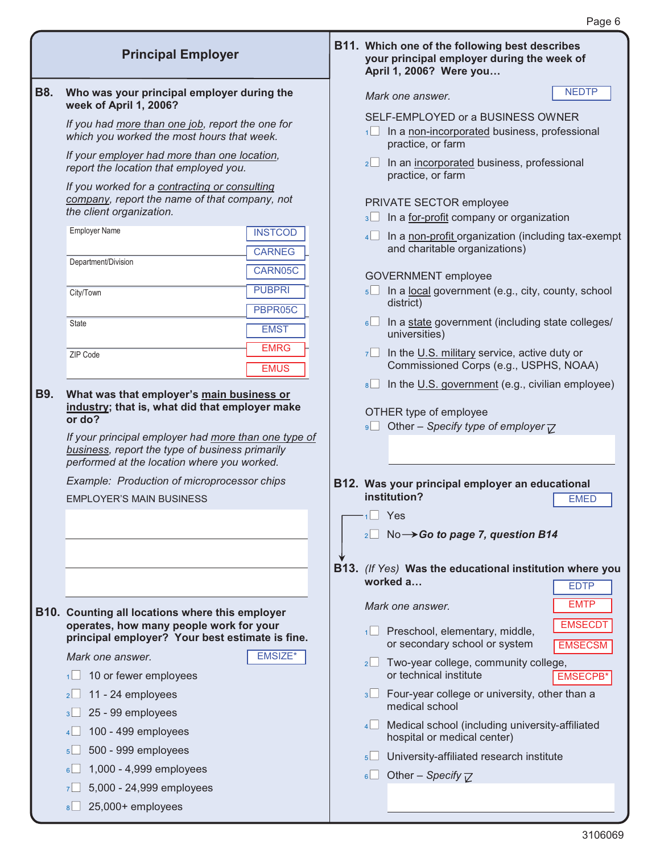**B11. Which one of the following best describes** 

**April 1, 2006? Were you…**

**your principal employer during the week of** 

| <b>B8.</b> | Who was your principal employer during the<br>week of April 1, 2006?                                                                                             |                | Mark one answer.                                                                                       | <b>NEDTP</b>                     |
|------------|------------------------------------------------------------------------------------------------------------------------------------------------------------------|----------------|--------------------------------------------------------------------------------------------------------|----------------------------------|
|            | If you had more than one job, report the one for<br>which you worked the most hours that week.                                                                   | 1              | SELF-EMPLOYED or a BUSINESS OWNER<br>In a non-incorporated business, professional<br>practice, or farm |                                  |
|            | If your employer had more than one location,<br>report the location that employed you.                                                                           | $2^{\square}$  | In an incorporated business, professional<br>practice, or farm                                         |                                  |
|            | If you worked for a contracting or consulting<br>company, report the name of that company, not<br>the client organization.                                       |                | PRIVATE SECTOR employee<br>3 In a for-profit company or organization                                   |                                  |
|            | <b>Employer Name</b><br><b>INSTCOD</b><br><b>CARNEG</b>                                                                                                          |                | 4 In a non-profit organization (including tax-exempt<br>and charitable organizations)                  |                                  |
|            | Department/Division<br>CARN05C                                                                                                                                   |                | <b>GOVERNMENT</b> employee                                                                             |                                  |
|            | <b>PUBPRI</b><br>City/Town<br>PBPR05C                                                                                                                            |                | 5 In a local government (e.g., city, county, school<br>district)                                       |                                  |
|            | <b>State</b><br><b>EMST</b><br><b>EMRG</b>                                                                                                                       | $6 \Box$       | In a state government (including state colleges/<br>universities)                                      |                                  |
|            | ZIP Code<br><b>EMUS</b>                                                                                                                                          |                | $7\Box$ In the U.S. military service, active duty or<br>Commissioned Corps (e.g., USPHS, NOAA)         |                                  |
| <b>B9.</b> | What was that employer's main business or<br>industry; that is, what did that employer make                                                                      | 8              | In the U.S. government (e.g., civilian employee)<br>OTHER type of employee                             |                                  |
|            | or do?<br>If your principal employer had more than one type of<br>business, report the type of business primarily<br>performed at the location where you worked. | 9              | Other – Specify type of employer $\nabla$                                                              |                                  |
|            | Example: Production of microprocessor chips<br><b>EMPLOYER'S MAIN BUSINESS</b>                                                                                   |                | B12. Was your principal employer an educational<br>institution?                                        | <b>EMED</b>                      |
|            |                                                                                                                                                                  | $1 \cup Y$ es  |                                                                                                        |                                  |
|            |                                                                                                                                                                  |                | $_2\Box$ No $\rightarrow$ Go to page 7, question B14                                                   |                                  |
|            |                                                                                                                                                                  |                | B13. (If Yes) Was the educational institution where you<br>worked a                                    | <b>EDTP</b>                      |
|            | <b>B10. Counting all locations where this employer</b>                                                                                                           |                | Mark one answer.                                                                                       | <b>EMTP</b>                      |
|            | operates, how many people work for your<br>principal employer? Your best estimate is fine.                                                                       | 1              | Preschool, elementary, middle,<br>or secondary school or system                                        | <b>EMSECDT</b><br><b>EMSECSM</b> |
|            | EMSIZE*<br>Mark one answer.<br>10 or fewer employees<br>1 <sup>1</sup>                                                                                           | 2              | Two-year college, community college,<br>or technical institute                                         | <b>EMSECPB*</b>                  |
|            | 11 - 24 employees<br>2<br>25 - 99 employees                                                                                                                      |                | 3 Four-year college or university, other than a<br>medical school                                      |                                  |
|            | 3 <sup>L</sup><br>100 - 499 employees<br>4 <sup>1</sup>                                                                                                          | 4              | Medical school (including university-affiliated<br>hospital or medical center)                         |                                  |
|            | 500 - 999 employees<br>5 <sup>l</sup><br>1,000 - 4,999 employees<br>6 <sup>l</sup>                                                                               | 5 <sup>1</sup> | University-affiliated research institute                                                               |                                  |
|            | 5,000 - 24,999 employees<br>7 <sup>1</sup>                                                                                                                       | 6              | Other - Specify $\nabla$                                                                               |                                  |
|            | 25,000+ employees<br>8 <sup>l</sup>                                                                                                                              |                |                                                                                                        |                                  |

**Principal Employer**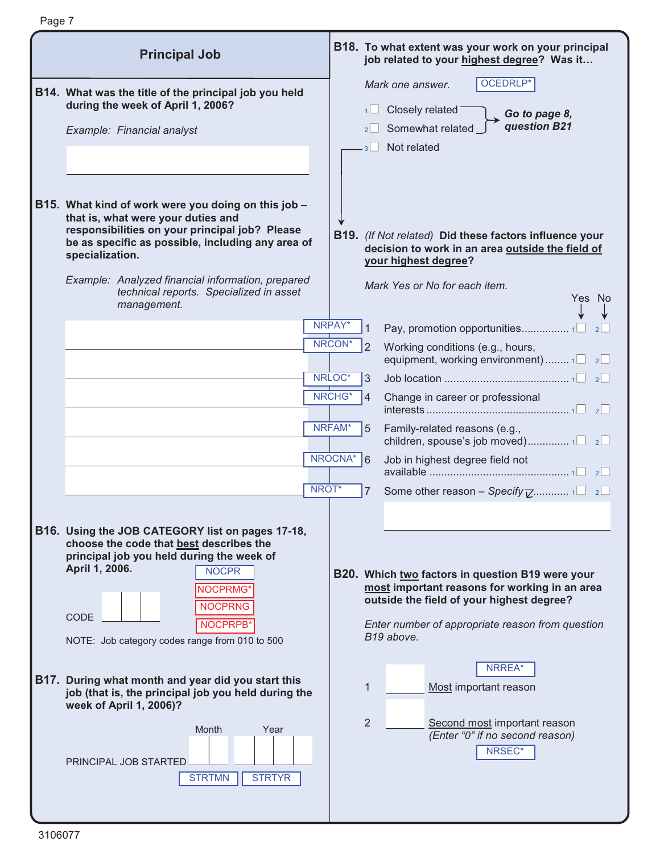| <b>Principal Job</b>                                                                                                                                                                                                                                                           |         | B18. To what extent was your work on your principal<br>job related to your highest degree? Was it                                                                                                                                 |
|--------------------------------------------------------------------------------------------------------------------------------------------------------------------------------------------------------------------------------------------------------------------------------|---------|-----------------------------------------------------------------------------------------------------------------------------------------------------------------------------------------------------------------------------------|
| B14. What was the title of the principal job you held<br>during the week of April 1, 2006?<br>Example: Financial analyst                                                                                                                                                       |         | OCEDRLP*<br>Mark one answer.<br>Closely related<br>Go to page 8,<br>question B21<br>Somewhat related<br>Not related                                                                                                               |
| B15. What kind of work were you doing on this job -<br>that is, what were your duties and<br>responsibilities on your principal job? Please<br>be as specific as possible, including any area of<br>specialization.<br>Example: Analyzed financial information, prepared       |         | B19. (If Not related) Did these factors influence your<br>decision to work in an area outside the field of<br>your highest degree?<br>Mark Yes or No for each item.                                                               |
| technical reports. Specialized in asset<br>management.                                                                                                                                                                                                                         | NRPAY*  | Yes No<br>Pay, promotion opportunities1                                                                                                                                                                                           |
|                                                                                                                                                                                                                                                                                | NRCON*  | Working conditions (e.g., hours,<br>equipment, working environment) $1 \Box 2 \Box$                                                                                                                                               |
|                                                                                                                                                                                                                                                                                | NRLOC*  | 3                                                                                                                                                                                                                                 |
|                                                                                                                                                                                                                                                                                | NRCHG*  | Change in career or professional<br>4                                                                                                                                                                                             |
|                                                                                                                                                                                                                                                                                | NRFAM*  | Family-related reasons (e.g.,<br>5<br>children, spouse's job moved)1 2                                                                                                                                                            |
|                                                                                                                                                                                                                                                                                | NROCNA* | 6<br>Job in highest degree field not                                                                                                                                                                                              |
| NROT*                                                                                                                                                                                                                                                                          |         | Some other reason - Specify $\overline{z}$ 1 2 2<br>7                                                                                                                                                                             |
| B16. Using the JOB CATEGORY list on pages 17-18,<br>choose the code that best describes the<br>principal job you held during the week of<br>April 1, 2006.<br><b>NOCPR</b><br>NOCPRMG*<br><b>NOCPRNG</b><br>CODE<br>NOCPRPB'<br>NOTE: Job category codes range from 010 to 500 |         | <b>B20.</b> Which two factors in question B19 were your<br>most important reasons for working in an area<br>outside the field of your highest degree?<br>Enter number of appropriate reason from question<br>B19 above.<br>NRREA* |
| B17. During what month and year did you start this<br>job (that is, the principal job you held during the<br>week of April 1, 2006)?                                                                                                                                           |         | 1<br>Most important reason                                                                                                                                                                                                        |
| Month<br>Year<br>PRINCIPAL JOB STARTED<br><b>STRTYR</b><br><b>STRTMN</b>                                                                                                                                                                                                       |         | 2<br>Second most important reason<br>(Enter "0" if no second reason)<br>NRSEC*                                                                                                                                                    |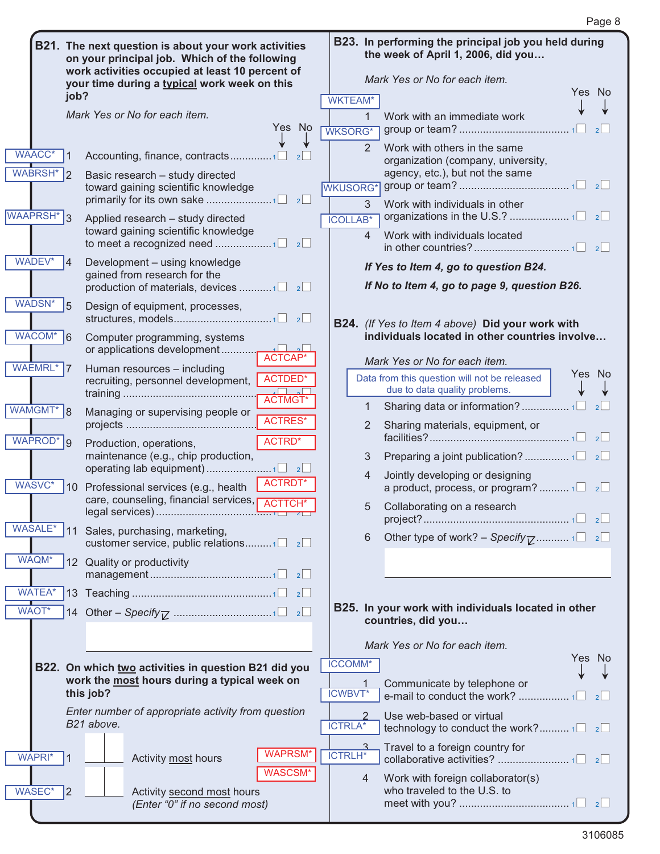|                        |              | B21. The next question is about your work activities<br>on your principal job. Which of the following<br>work activities occupied at least 10 percent of |                          |                                | B23. In performing the principal job you held during<br>the week of April 1, 2006, did you |
|------------------------|--------------|----------------------------------------------------------------------------------------------------------------------------------------------------------|--------------------------|--------------------------------|--------------------------------------------------------------------------------------------|
|                        | job?         | your time during a typical work week on this                                                                                                             |                          |                                | Mark Yes or No for each item.<br>Yes No                                                    |
|                        |              | Mark Yes or No for each item.<br>Yes No                                                                                                                  | <b>WKTEAM*</b>           | 1                              | Work with an immediate work                                                                |
| <b>WAACC*</b>          |              | 2                                                                                                                                                        | WKSORG*                  | 2                              | 2<br>Work with others in the same<br>organization (company, university,                    |
| <b>WABRSH*</b>         | 2            | Basic research - study directed<br>toward gaining scientific knowledge                                                                                   | WKUSORG*                 |                                | agency, etc.), but not the same                                                            |
| WAAPRSH <sup>*</sup> 3 |              | Applied research - study directed<br>toward gaining scientific knowledge                                                                                 | <b>ICOLLAB*</b>          | $\mathbf{3}$<br>$\overline{4}$ | Work with individuals in other<br>Work with individuals located                            |
| WADEV*                 | 14           | Development - using knowledge<br>gained from research for the                                                                                            |                          |                                | If Yes to Item 4, go to question B24.                                                      |
|                        |              | production of materials, devices 1 2                                                                                                                     |                          |                                | If No to Item 4, go to page 9, question B26.                                               |
| <b>WADSN*</b>          | 5            | Design of equipment, processes,                                                                                                                          |                          |                                | B24. (If Yes to Item 4 above) Did your work with                                           |
| WACOM*                 | 6            | Computer programming, systems<br>ACTCAP*                                                                                                                 |                          |                                | individuals located in other countries involve<br>Mark Yes or No for each item.            |
| WAEMRL* 7              |              | Human resources - including<br>ACTDED*<br>recruiting, personnel development,                                                                             |                          |                                | Yes No<br>Data from this question will not be released<br>due to data quality problems.    |
| WAMGMT* 8              |              | <b>ACTMGT</b><br>Managing or supervising people or<br><b>ACTRES*</b>                                                                                     |                          | 1<br>$\mathbf{2}$              | 2<br>Sharing materials, equipment, or                                                      |
| WAPROD <sup>*</sup> 9  |              | ACTRD*<br>Production, operations,<br>maintenance (e.g., chip production,                                                                                 |                          | 3                              |                                                                                            |
| WASVC*                 | $ 10\rangle$ | ACTRDT*<br>Professional services (e.g., health                                                                                                           |                          | 4                              | Jointly developing or designing<br>a product, process, or program? $1 \Box 2 \Box$         |
|                        |              | care, counseling, financial services, p<br>ACTTCH <sup>*</sup>                                                                                           |                          | 5                              | Collaborating on a research<br>$\vert$ 2 $\vert$                                           |
| <b>WASALE*</b>         | 11           | Sales, purchasing, marketing,<br>customer service, public relations1 $\Box$ 2 $\Box$                                                                     |                          | 6                              | Other type of work? – Specify $\overline{V}$ 1 2                                           |
| WAQM*                  |              | 12 Quality or productivity                                                                                                                               |                          |                                |                                                                                            |
| <b>WATEA*</b><br>WAOT* |              |                                                                                                                                                          |                          |                                | B25. In your work with individuals located in other                                        |
|                        |              |                                                                                                                                                          |                          |                                | countries, did you                                                                         |
|                        |              |                                                                                                                                                          |                          |                                | Mark Yes or No for each item.<br>Yes No                                                    |
|                        |              | B22. On which two activities in question B21 did you<br>work the most hours during a typical week on<br>this job?                                        | ICCOMM*<br><b>ICWBVT</b> |                                | Communicate by telephone or<br>e-mail to conduct the work? 1<br>2                          |
|                        |              | Enter number of appropriate activity from question<br>B21 above.                                                                                         | <b>ICTRLA*</b>           |                                | Use web-based or virtual                                                                   |
| WAPRI*                 | 1            | <b>WAPRSM*</b><br>Activity most hours                                                                                                                    | <b>ICTRLH*</b>           |                                | Travel to a foreign country for                                                            |
| WASEC*                 | 2            | <b>WASCSM*</b><br>Activity second most hours<br>(Enter "0" if no second most)                                                                            |                          | 4                              | Work with foreign collaborator(s)<br>who traveled to the U.S. to                           |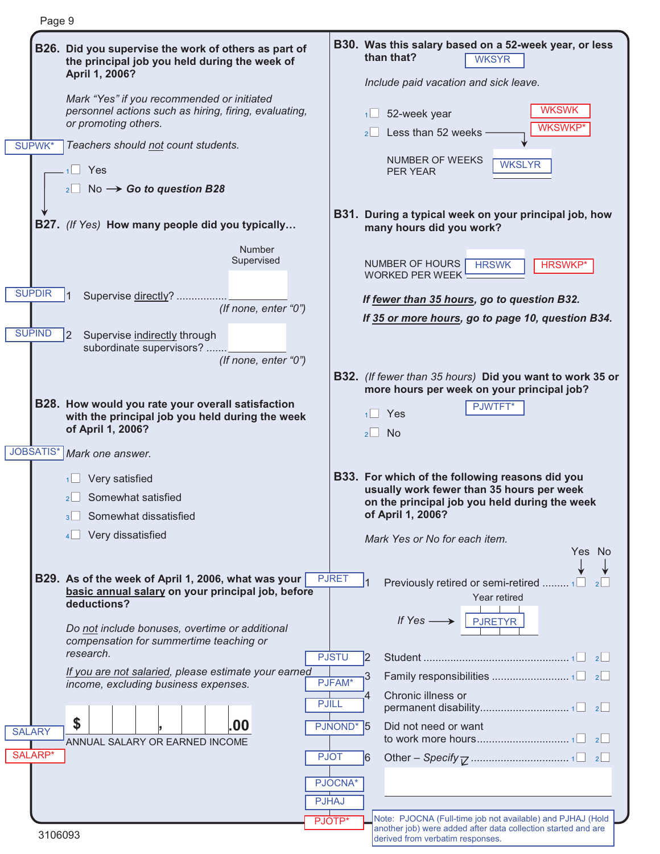|                                                                                                          | B30. Was this salary based on a 52-week year, or less                                                         |
|----------------------------------------------------------------------------------------------------------|---------------------------------------------------------------------------------------------------------------|
| B26. Did you supervise the work of others as part of<br>the principal job you held during the week of    | than that?<br><b>WKSYR</b>                                                                                    |
| April 1, 2006?                                                                                           | Include paid vacation and sick leave.                                                                         |
| Mark "Yes" if you recommended or initiated                                                               |                                                                                                               |
| personnel actions such as hiring, firing, evaluating,<br>or promoting others.                            | <b>WKSWK</b><br>52-week year<br>1                                                                             |
| SUPWK*<br>Teachers should not count students.                                                            | <b>WKSWKP*</b><br>Less than 52 weeks<br>$2$                                                                   |
|                                                                                                          | NUMBER OF WEEKS<br><b>WKSLYR</b>                                                                              |
| $1$ Yes                                                                                                  | <b>PER YEAR</b>                                                                                               |
| $_2$ No $\rightarrow$ Go to question B28                                                                 |                                                                                                               |
| <b>B27.</b> (If Yes) How many people did you typically                                                   | B31. During a typical week on your principal job, how<br>many hours did you work?                             |
| Number                                                                                                   |                                                                                                               |
| Supervised                                                                                               | NUMBER OF HOURS<br><b>HRSWK</b><br><b>HRSWKP</b> *<br><b>WORKED PER WEEK</b>                                  |
| <b>SUPDIR</b>                                                                                            |                                                                                                               |
| Supervise directly?<br>(If none, enter "0")                                                              | If fewer than 35 hours, go to question B32.                                                                   |
| <b>SUPIND</b><br> 2<br>Supervise indirectly through                                                      | If 35 or more hours, go to page 10, question B34.                                                             |
| subordinate supervisors?                                                                                 |                                                                                                               |
| (If none, enter "0")                                                                                     |                                                                                                               |
|                                                                                                          | <b>B32.</b> (If fewer than 35 hours) Did you want to work 35 or<br>more hours per week on your principal job? |
| B28. How would you rate your overall satisfaction                                                        | PJWTFT*<br>Yes                                                                                                |
| with the principal job you held during the week<br>of April 1, 2006?                                     | <b>No</b><br>$\overline{2}$                                                                                   |
| JOBSATIS*<br>Mark one answer.                                                                            |                                                                                                               |
|                                                                                                          |                                                                                                               |
| Very satisfied                                                                                           | B33. For which of the following reasons did you<br>usually work fewer than 35 hours per week                  |
| Somewhat satisfied<br>Somewhat dissatisfied                                                              | on the principal job you held during the week<br>of April 1, 2006?                                            |
| Very dissatisfied<br>4                                                                                   |                                                                                                               |
|                                                                                                          | Mark Yes or No for each item.<br>Yes No                                                                       |
|                                                                                                          |                                                                                                               |
| B29. As of the week of April 1, 2006, what was your<br>basic annual salary on your principal job, before | <b>PJRET</b><br>Previously retired or semi-retired  1□<br>Year retired                                        |
| deductions?                                                                                              |                                                                                                               |
| Do not include bonuses, overtime or additional                                                           | If $Yes \longrightarrow$ PJRETYR                                                                              |
| compensation for summertime teaching or<br>research.                                                     | <b>PJSTU</b><br>12                                                                                            |
| If you are not salaried, please estimate your earned                                                     | 3                                                                                                             |
| income, excluding business expenses.                                                                     | PJFAM*<br>Chronic illness or                                                                                  |
| <b>PJILL</b>                                                                                             |                                                                                                               |
|                                                                                                          | PJNOND <sup>*</sup> 5<br>Did not need or want                                                                 |
| \$<br>.00                                                                                                |                                                                                                               |
| ANNUAL SALARY OR EARNED INCOME                                                                           |                                                                                                               |
| <b>PJOT</b>                                                                                              | 16                                                                                                            |
|                                                                                                          | PJOCNA*                                                                                                       |
| <b>SALARY</b><br>SALARP*<br><b>PJHAJ</b>                                                                 | Note: PJOCNA (Full-time job not available) and PJHAJ (Hold                                                    |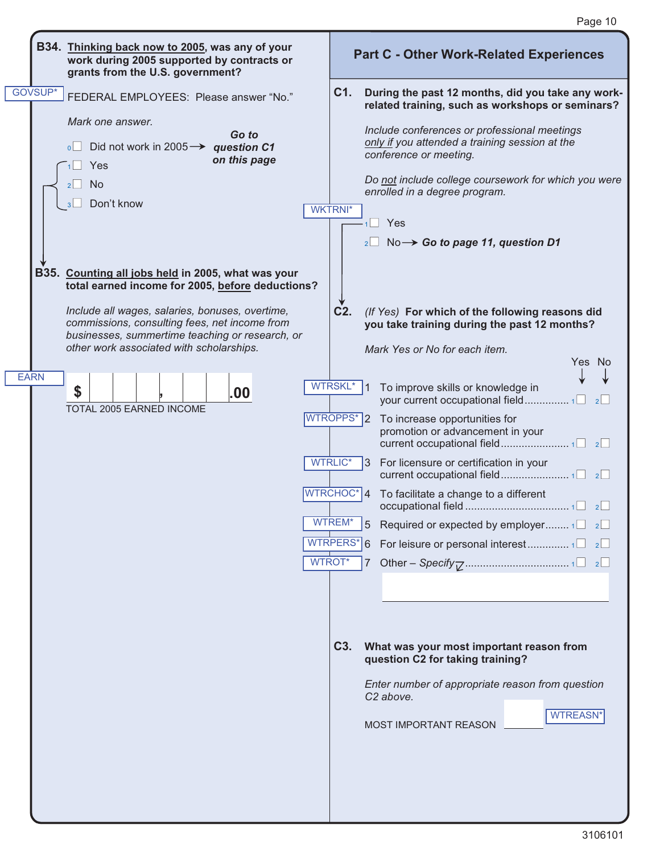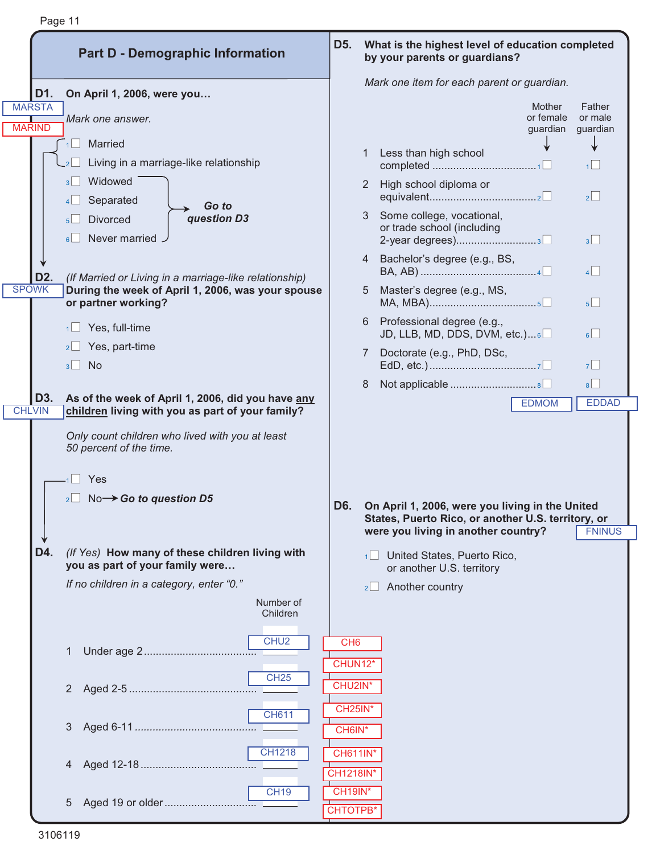|                                | <b>Part D - Demographic Information</b>                                                                                                                    | D <sub>5</sub> .                  |                | What is the highest level of education completed<br>by your parents or guardians?                                                            |                               |
|--------------------------------|------------------------------------------------------------------------------------------------------------------------------------------------------------|-----------------------------------|----------------|----------------------------------------------------------------------------------------------------------------------------------------------|-------------------------------|
| D1.                            | On April 1, 2006, were you                                                                                                                                 |                                   |                | Mark one item for each parent or guardian.                                                                                                   |                               |
| <b>MARSTA</b><br><b>MARIND</b> | Mark one answer.                                                                                                                                           |                                   |                | <b>Mother</b><br>or female<br>guardian                                                                                                       | Father<br>or male<br>guardian |
|                                | $1$ Married                                                                                                                                                |                                   |                | Less than high school                                                                                                                        |                               |
|                                | Living in a marriage-like relationship<br>$-2$                                                                                                             |                                   |                |                                                                                                                                              | 1                             |
|                                | Widowed<br>3 <sup>1</sup><br>Separated<br>4                                                                                                                |                                   | $\overline{2}$ | High school diploma or                                                                                                                       | $\overline{2}$                |
|                                | Go to<br>question D3<br><b>Divorced</b><br>5 <sup>l</sup><br>Never married.<br>6                                                                           |                                   | 3              | Some college, vocational,<br>or trade school (including<br>2-year degrees)3                                                                  | 3                             |
| D <sub>2</sub> .               | (If Married or Living in a marriage-like relationship)                                                                                                     |                                   |                | 4 Bachelor's degree (e.g., BS,                                                                                                               | $4\Box$                       |
| <b>SPOWK</b>                   | During the week of April 1, 2006, was your spouse<br>or partner working?                                                                                   |                                   | 5              | Master's degree (e.g., MS,                                                                                                                   | $5\Box$                       |
|                                | Yes, full-time<br>$1 \Box$                                                                                                                                 |                                   | 6              | Professional degree (e.g.,<br>JD, LLB, MD, DDS, DVM, etc.)6                                                                                  | 6                             |
|                                | Yes, part-time<br>$2\Box$<br>No<br>3                                                                                                                       |                                   |                | Doctorate (e.g., PhD, DSc,                                                                                                                   | 7 <sup>1</sup>                |
|                                |                                                                                                                                                            |                                   | 8              | Not applicable 8                                                                                                                             | 8                             |
| D3.<br><b>CHLVIN</b>           | As of the week of April 1, 2006, did you have any<br>children living with you as part of your family?                                                      |                                   |                | <b>EDMOM</b>                                                                                                                                 | <b>EDDAD</b>                  |
|                                | Only count children who lived with you at least<br>50 percent of the time.<br>$\overline{\phantom{0}}$<br>Yes<br>$_{2}$ No $\rightarrow$ Go to question D5 | D6.                               |                | On April 1, 2006, were you living in the United<br>States, Puerto Rico, or another U.S. territory, or<br>were you living in another country? | <b>FNINUS</b>                 |
| D4.                            | (If Yes) How many of these children living with                                                                                                            |                                   |                |                                                                                                                                              |                               |
|                                | you as part of your family were                                                                                                                            |                                   |                | 1 United States, Puerto Rico,<br>or another U.S. territory                                                                                   |                               |
|                                | If no children in a category, enter "0."                                                                                                                   |                                   | 2              | Another country                                                                                                                              |                               |
|                                | Number of<br>Children                                                                                                                                      |                                   |                |                                                                                                                                              |                               |
|                                | CHU <sub>2</sub>                                                                                                                                           | CH <sub>6</sub><br>CHUN12*        |                |                                                                                                                                              |                               |
|                                | <b>CH25</b><br>2                                                                                                                                           | CHU2IN*                           |                |                                                                                                                                              |                               |
|                                | <b>CH611</b><br>3                                                                                                                                          | <b>CH25IN*</b><br>CH6IN*          |                |                                                                                                                                              |                               |
|                                | <b>CH1218</b><br>4                                                                                                                                         | <b>CH611IN*</b><br>CH1218IN*      |                |                                                                                                                                              |                               |
|                                | <b>CH19</b><br>5                                                                                                                                           | <b>CH19IN*</b><br><b>CHTOTPB*</b> |                |                                                                                                                                              |                               |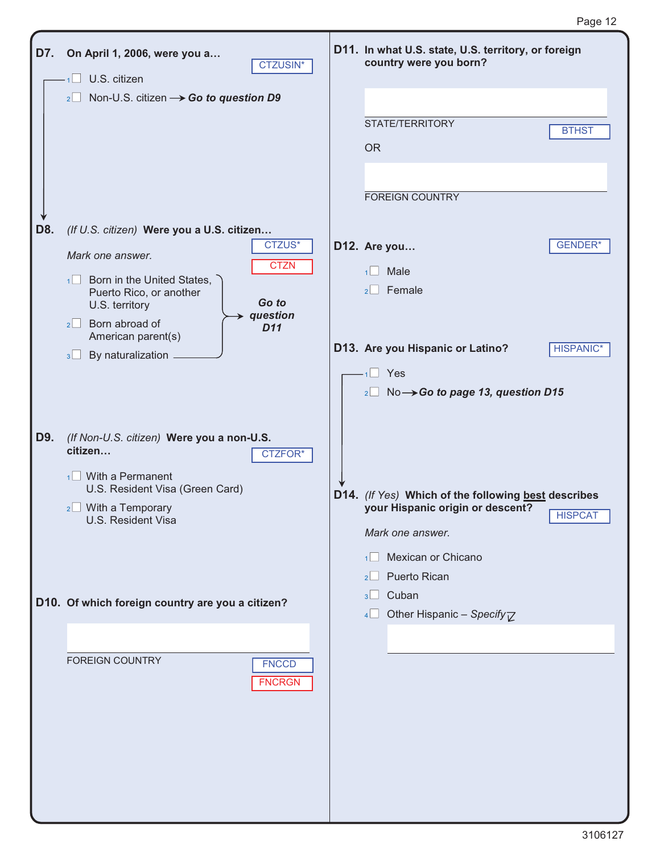| D7. | On April 1, 2006, were you a<br><b>CTZUSIN*</b><br>$1$ U.S. citizen<br>2 Non-U.S. citizen $\rightarrow$ Go to question D9                                                                                                | D11. In what U.S. state, U.S. territory, or foreign<br>country were you born?                                                    |
|-----|--------------------------------------------------------------------------------------------------------------------------------------------------------------------------------------------------------------------------|----------------------------------------------------------------------------------------------------------------------------------|
|     |                                                                                                                                                                                                                          | STATE/TERRITORY<br><b>BTHST</b><br><b>OR</b>                                                                                     |
| D8. | (If U.S. citizen) Were you a U.S. citizen                                                                                                                                                                                | <b>FOREIGN COUNTRY</b>                                                                                                           |
|     | CTZUS*<br>Mark one answer.<br><b>CTZN</b><br>$\sqrt{1}$ Born in the United States,<br>Puerto Rico, or another<br>Go to<br>U.S. territory<br>question<br>$2 \Box$ Born abroad of<br>D <sub>11</sub><br>American parent(s) | <b>GENDER*</b><br>D12. Are you<br>Male<br>1<br>$2 \Box$ Female                                                                   |
|     | By naturalization.<br>$3\Box$                                                                                                                                                                                            | D13. Are you Hispanic or Latino?<br><b>HISPANIC*</b><br>$1 \square$ Yes<br>$_2\Box$ No $\rightarrow$ Go to page 13, question D15 |
| D9. | (If Non-U.S. citizen) Were you a non-U.S.<br>citizen<br>CTZFOR*<br>$\sqrt{1}$ With a Permanent<br>U.S. Resident Visa (Green Card)<br>$_{2}$ With a Temporary<br>U.S. Resident Visa                                       | D14. (If Yes) Which of the following best describes<br>your Hispanic origin or descent?<br><b>HISPCAT</b><br>Mark one answer.    |
|     | D10. Of which foreign country are you a citizen?                                                                                                                                                                         | Mexican or Chicano<br>$1$  <br>Puerto Rican<br>2<br>Cuban<br>3 <sup>1</sup><br>Other Hispanic - Specify $\overline{V}$<br>4      |
|     | <b>FOREIGN COUNTRY</b><br><b>FNCCD</b><br><b>FNCRGN</b>                                                                                                                                                                  |                                                                                                                                  |
|     |                                                                                                                                                                                                                          |                                                                                                                                  |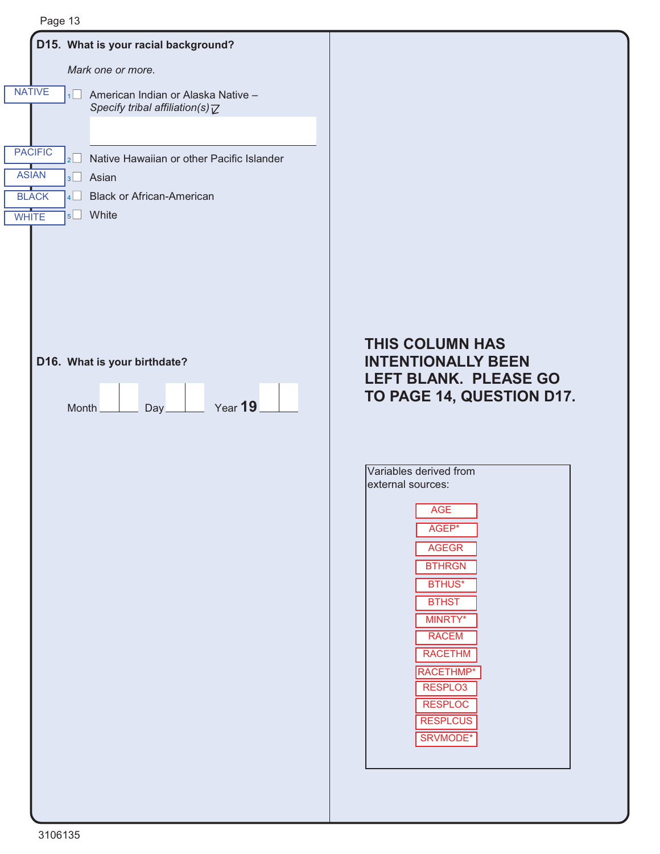

#### **THIS COLUMN HAS INTENTIONALLY BEEN LEFT BLANK. PLEASE GO TO PAGE 14, QUESTION D17.**

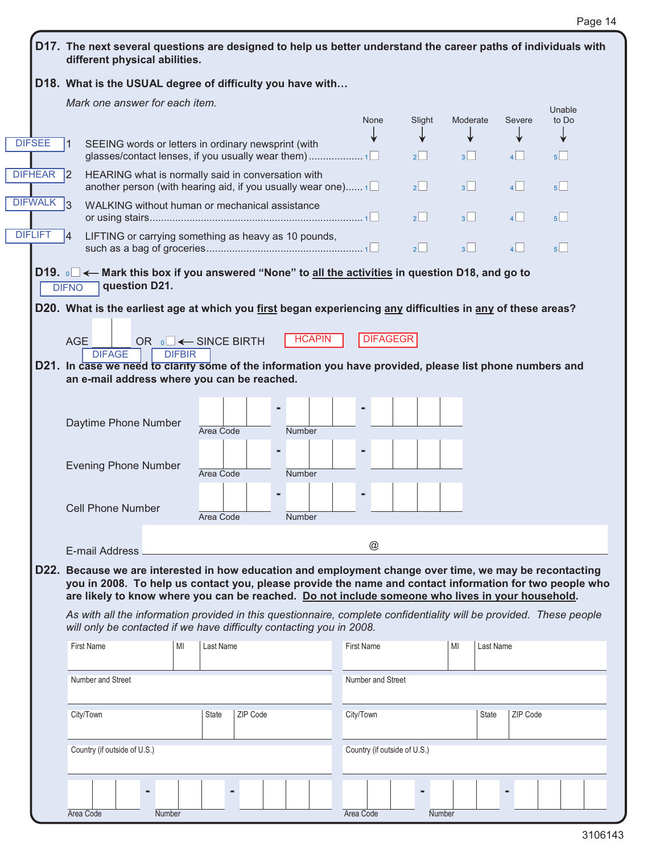|                      | D18. What is the USUAL degree of difficulty you have with                                                                                                                                                          |                                 |          |               |                              |         |                 |          |                 |  |  |  |
|----------------------|--------------------------------------------------------------------------------------------------------------------------------------------------------------------------------------------------------------------|---------------------------------|----------|---------------|------------------------------|---------|-----------------|----------|-----------------|--|--|--|
|                      | Mark one answer for each item.                                                                                                                                                                                     |                                 |          |               |                              |         |                 |          |                 |  |  |  |
|                      |                                                                                                                                                                                                                    |                                 |          |               | None                         | Slight  | Moderate        | Severe   | Unable<br>to Do |  |  |  |
| <b>DIFSEE</b>        | SEEING words or letters in ordinary newsprint (with<br>11                                                                                                                                                          |                                 |          |               |                              |         |                 |          |                 |  |  |  |
|                      |                                                                                                                                                                                                                    |                                 |          |               |                              | 2       | 3               | 4        | $5^{\vert}$     |  |  |  |
| DIFHEAR <sup>2</sup> | HEARING what is normally said in conversation with<br>another person (with hearing aid, if you usually wear one) $1\Box$                                                                                           |                                 |          |               |                              | $2$     | 3 <sup>1</sup>  | $\vert$  | $5\Box$         |  |  |  |
| DIFWALK 3            | WALKING without human or mechanical assistance                                                                                                                                                                     |                                 |          |               |                              | 2       | $3\Box$         | $4\Box$  | $5^{\circ}$     |  |  |  |
| <b>DIFLIFT</b>       | LIFTING or carrying something as heavy as 10 pounds,<br>14                                                                                                                                                         |                                 |          |               |                              | $2\Box$ | $3\Box$         | 4        | 5               |  |  |  |
|                      | D19. ه⊟ ← Mark this box if you answered "None" to <u>all the activities</u> in question D18, and go to<br>question D21.                                                                                            |                                 |          |               |                              |         |                 |          |                 |  |  |  |
|                      | <b>DIFNO</b><br>D20. What is the earliest age at which you first began experiencing any difficulties in any of these areas?                                                                                        |                                 |          |               |                              |         |                 |          |                 |  |  |  |
|                      |                                                                                                                                                                                                                    |                                 |          |               |                              |         |                 |          |                 |  |  |  |
|                      | AGE                                                                                                                                                                                                                | OR <sub>0</sub> □ ← SINCE BIRTH |          | <b>HCAPIN</b> | <b>DIFAGEGR</b>              |         |                 |          |                 |  |  |  |
|                      | <b>DIFAGE</b>                                                                                                                                                                                                      | <b>DIFBIR</b>                   |          |               |                              |         |                 |          |                 |  |  |  |
|                      | D21. In case we need to clarify some of the information you have provided, please list phone numbers and<br>an e-mail address where you can be reached.                                                            |                                 |          |               |                              |         |                 |          |                 |  |  |  |
|                      |                                                                                                                                                                                                                    |                                 |          |               |                              |         |                 |          |                 |  |  |  |
|                      |                                                                                                                                                                                                                    |                                 |          |               |                              |         |                 |          |                 |  |  |  |
|                      | Daytime Phone Number                                                                                                                                                                                               | Area Code                       |          | <b>Number</b> |                              |         |                 |          |                 |  |  |  |
|                      |                                                                                                                                                                                                                    |                                 |          |               |                              |         |                 |          |                 |  |  |  |
|                      | <b>Evening Phone Number</b>                                                                                                                                                                                        |                                 |          |               |                              |         |                 |          |                 |  |  |  |
|                      |                                                                                                                                                                                                                    | Area Code                       |          | <b>Number</b> |                              |         |                 |          |                 |  |  |  |
|                      |                                                                                                                                                                                                                    |                                 |          |               |                              |         |                 |          |                 |  |  |  |
|                      | <b>Cell Phone Number</b>                                                                                                                                                                                           | Area Code                       |          | Number        |                              |         |                 |          |                 |  |  |  |
|                      |                                                                                                                                                                                                                    |                                 |          |               |                              |         |                 |          |                 |  |  |  |
|                      | @<br>E-mail Address                                                                                                                                                                                                |                                 |          |               |                              |         |                 |          |                 |  |  |  |
|                      | D22. Because we are interested in how education and employment change over time, we may be recontacting<br>you in 2008. To help us contact you, please provide the name and contact information for two people who |                                 |          |               |                              |         |                 |          |                 |  |  |  |
|                      |                                                                                                                                                                                                                    |                                 |          |               |                              |         |                 |          |                 |  |  |  |
|                      |                                                                                                                                                                                                                    |                                 |          |               |                              |         |                 |          |                 |  |  |  |
|                      | are likely to know where you can be reached. Do not include someone who lives in your household.                                                                                                                   |                                 |          |               |                              |         |                 |          |                 |  |  |  |
|                      | As with all the information provided in this questionnaire, complete confidentiality will be provided. These people<br>will only be contacted if we have difficulty contacting you in 2008.                        |                                 |          |               |                              |         |                 |          |                 |  |  |  |
|                      |                                                                                                                                                                                                                    |                                 |          |               |                              |         |                 |          |                 |  |  |  |
|                      | <b>First Name</b>                                                                                                                                                                                                  | Last Name<br>MI                 |          |               | <b>First Name</b>            |         | Last Name<br>MI |          |                 |  |  |  |
|                      | Number and Street                                                                                                                                                                                                  |                                 |          |               | Number and Street            |         |                 |          |                 |  |  |  |
|                      |                                                                                                                                                                                                                    |                                 |          |               |                              |         |                 |          |                 |  |  |  |
|                      |                                                                                                                                                                                                                    | State                           | ZIP Code |               |                              |         | State           | ZIP Code |                 |  |  |  |
|                      | City/Town                                                                                                                                                                                                          |                                 |          |               | City/Town                    |         |                 |          |                 |  |  |  |
|                      |                                                                                                                                                                                                                    |                                 |          |               |                              |         |                 |          |                 |  |  |  |
|                      | Country (if outside of U.S.)                                                                                                                                                                                       |                                 |          |               | Country (if outside of U.S.) |         |                 |          |                 |  |  |  |
|                      |                                                                                                                                                                                                                    |                                 |          |               |                              |         |                 |          |                 |  |  |  |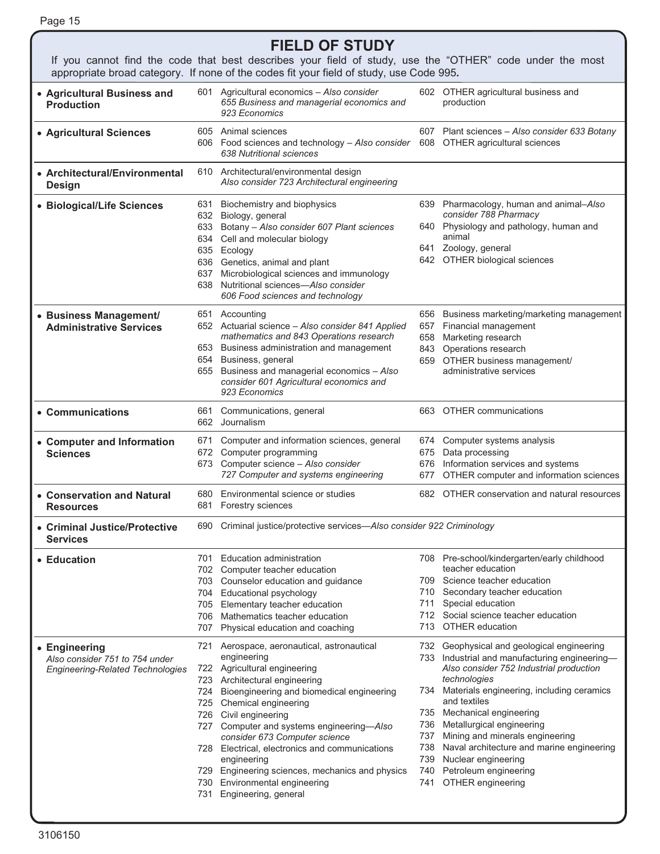| Page 15 |  |  |
|---------|--|--|
|         |  |  |

### **FIELD OF STUDY**

If you cannot find the code that best describes your field of study, use the "OTHER" code under the most appropriate broad category. If none of the codes fit your field of study, use Code 995**.** 

| • Agricultural Business and<br><b>Production</b>                                    |                                 | Agricultural economics - Also consider<br>601  <br>655 Business and managerial economics and<br>923 Economics                                                                                                                                                                                                                                                                                                                                                                                   |                                        | 602 OTHER agricultural business and<br>production                                                                                                                                                                                                                                                                                                                                                                                       |
|-------------------------------------------------------------------------------------|---------------------------------|-------------------------------------------------------------------------------------------------------------------------------------------------------------------------------------------------------------------------------------------------------------------------------------------------------------------------------------------------------------------------------------------------------------------------------------------------------------------------------------------------|----------------------------------------|-----------------------------------------------------------------------------------------------------------------------------------------------------------------------------------------------------------------------------------------------------------------------------------------------------------------------------------------------------------------------------------------------------------------------------------------|
| • Agricultural Sciences                                                             |                                 | 605 Animal sciences<br>606 Food sciences and technology - Also consider<br>638 Nutritional sciences                                                                                                                                                                                                                                                                                                                                                                                             |                                        | 607 Plant sciences - Also consider 633 Botany<br>608 OTHER agricultural sciences                                                                                                                                                                                                                                                                                                                                                        |
| • Architectural/Environmental<br>Design                                             |                                 | 610 Architectural/environmental design<br>Also consider 723 Architectural engineering                                                                                                                                                                                                                                                                                                                                                                                                           |                                        |                                                                                                                                                                                                                                                                                                                                                                                                                                         |
| • Biological/Life Sciences                                                          | 631<br>632<br>633<br>637<br>638 | Biochemistry and biophysics<br>Biology, general<br>Botany - Also consider 607 Plant sciences<br>634 Cell and molecular biology<br>635 Ecology<br>636 Genetics, animal and plant<br>Microbiological sciences and immunology<br>Nutritional sciences-Also consider<br>606 Food sciences and technology                                                                                                                                                                                            | 639<br>640                             | Pharmacology, human and animal-Also<br>consider 788 Pharmacy<br>Physiology and pathology, human and<br>animal<br>641 Zoology, general<br>642 OTHER biological sciences                                                                                                                                                                                                                                                                  |
| • Business Management/<br><b>Administrative Services</b>                            | 655                             | 651 Accounting<br>652 Actuarial science - Also consider 841 Applied<br>mathematics and 843 Operations research<br>653 Business administration and management<br>654 Business, general<br>Business and managerial economics - Also<br>consider 601 Agricultural economics and<br>923 Economics                                                                                                                                                                                                   | 657<br>658                             | 656 Business marketing/marketing management<br>Financial management<br>Marketing research<br>843 Operations research<br>659 OTHER business management/<br>administrative services                                                                                                                                                                                                                                                       |
| • Communications                                                                    | 661                             | Communications, general<br>662 Journalism                                                                                                                                                                                                                                                                                                                                                                                                                                                       |                                        | 663 OTHER communications                                                                                                                                                                                                                                                                                                                                                                                                                |
| • Computer and Information<br><b>Sciences</b>                                       | 671<br>672                      | Computer and information sciences, general<br>Computer programming<br>673 Computer science - Also consider<br>727 Computer and systems engineering                                                                                                                                                                                                                                                                                                                                              | 675<br>676<br>677                      | 674 Computer systems analysis<br>Data processing<br>Information services and systems<br>OTHER computer and information sciences                                                                                                                                                                                                                                                                                                         |
| • Conservation and Natural<br><b>Resources</b>                                      | 680<br>681                      | Environmental science or studies<br>Forestry sciences                                                                                                                                                                                                                                                                                                                                                                                                                                           |                                        | 682 OTHER conservation and natural resources                                                                                                                                                                                                                                                                                                                                                                                            |
| • Criminal Justice/Protective<br><b>Services</b>                                    | 690                             | Criminal justice/protective services-Also consider 922 Criminology                                                                                                                                                                                                                                                                                                                                                                                                                              |                                        |                                                                                                                                                                                                                                                                                                                                                                                                                                         |
| • Education                                                                         | 704<br>705<br>707               | 701 Education administration<br>702 Computer teacher education<br>703 Counselor education and guidance<br>Educational psychology<br>Elementary teacher education<br>706 Mathematics teacher education<br>Physical education and coaching                                                                                                                                                                                                                                                        | 709.<br>710<br>711<br>712              | 708 Pre-school/kindergarten/early childhood<br>teacher education<br>Science teacher education<br>Secondary teacher education<br>Special education<br>Social science teacher education<br>713 OTHER education                                                                                                                                                                                                                            |
| • Engineering<br>Also consider 751 to 754 under<br>Engineering-Related Technologies |                                 | 721 Aerospace, aeronautical, astronautical<br>engineering<br>722 Agricultural engineering<br>723 Architectural engineering<br>724 Bioengineering and biomedical engineering<br>725 Chemical engineering<br>726 Civil engineering<br>727 Computer and systems engineering-Also<br>consider 673 Computer science<br>728 Electrical, electronics and communications<br>engineering<br>729 Engineering sciences, mechanics and physics<br>730 Environmental engineering<br>731 Engineering, general | 736<br>737<br>738<br>739<br>740<br>741 | 732 Geophysical and geological engineering<br>733 Industrial and manufacturing engineering-<br>Also consider 752 Industrial production<br>technologies<br>734 Materials engineering, including ceramics<br>and textiles<br>735 Mechanical engineering<br>Metallurgical engineering<br>Mining and minerals engineering<br>Naval architecture and marine engineering<br>Nuclear engineering<br>Petroleum engineering<br>OTHER engineering |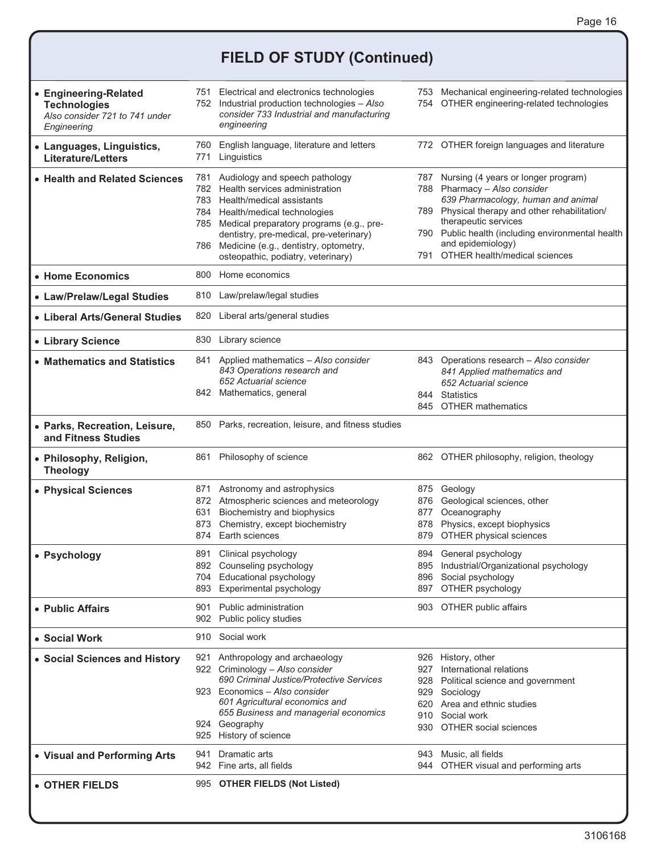## **FIELD OF STUDY (Continued)**

| • Engineering-Related<br><b>Technologies</b><br>Also consider 721 to 741 under<br>Engineering | 752                      | 751 Electrical and electronics technologies<br>Industrial production technologies - Also<br>consider 733 Industrial and manufacturing<br>engineering                                                                                                                                                       |                                 | 753 Mechanical engineering-related technologies<br>754 OTHER engineering-related technologies                                                                                                                                                                                                  |
|-----------------------------------------------------------------------------------------------|--------------------------|------------------------------------------------------------------------------------------------------------------------------------------------------------------------------------------------------------------------------------------------------------------------------------------------------------|---------------------------------|------------------------------------------------------------------------------------------------------------------------------------------------------------------------------------------------------------------------------------------------------------------------------------------------|
| • Languages, Linguistics,<br><b>Literature/Letters</b>                                        | 760<br>771               | English language, literature and letters<br>Linguistics                                                                                                                                                                                                                                                    |                                 | 772 OTHER foreign languages and literature                                                                                                                                                                                                                                                     |
| • Health and Related Sciences                                                                 | 781<br>782<br>784<br>786 | Audiology and speech pathology<br>Health services administration<br>783 Health/medical assistants<br>Health/medical technologies<br>785 Medical preparatory programs (e.g., pre-<br>dentistry, pre-medical, pre-veterinary)<br>Medicine (e.g., dentistry, optometry,<br>osteopathic, podiatry, veterinary) | 789<br>791                      | 787 Nursing (4 years or longer program)<br>788 Pharmacy - Also consider<br>639 Pharmacology, human and animal<br>Physical therapy and other rehabilitation/<br>therapeutic services<br>790 Public health (including environmental health<br>and epidemiology)<br>OTHER health/medical sciences |
| • Home Economics                                                                              | 800                      | Home economics                                                                                                                                                                                                                                                                                             |                                 |                                                                                                                                                                                                                                                                                                |
| • Law/Prelaw/Legal Studies                                                                    | 810                      | Law/prelaw/legal studies                                                                                                                                                                                                                                                                                   |                                 |                                                                                                                                                                                                                                                                                                |
| • Liberal Arts/General Studies                                                                | 820                      | Liberal arts/general studies                                                                                                                                                                                                                                                                               |                                 |                                                                                                                                                                                                                                                                                                |
| • Library Science                                                                             | 830                      | Library science                                                                                                                                                                                                                                                                                            |                                 |                                                                                                                                                                                                                                                                                                |
| • Mathematics and Statistics                                                                  | 841                      | Applied mathematics - Also consider<br>843 Operations research and<br>652 Actuarial science<br>842 Mathematics, general                                                                                                                                                                                    | 844                             | 843 Operations research - Also consider<br>841 Applied mathematics and<br>652 Actuarial science<br><b>Statistics</b><br>845 OTHER mathematics                                                                                                                                                  |
| • Parks, Recreation, Leisure,<br>and Fitness Studies                                          |                          | 850 Parks, recreation, leisure, and fitness studies                                                                                                                                                                                                                                                        |                                 |                                                                                                                                                                                                                                                                                                |
| • Philosophy, Religion,<br><b>Theology</b>                                                    | 861                      | Philosophy of science                                                                                                                                                                                                                                                                                      |                                 | 862 OTHER philosophy, religion, theology                                                                                                                                                                                                                                                       |
| • Physical Sciences                                                                           | 631<br>873<br>874        | 871 Astronomy and astrophysics<br>872 Atmospheric sciences and meteorology<br>Biochemistry and biophysics<br>Chemistry, except biochemistry<br>Earth sciences                                                                                                                                              | 875<br>876<br>877<br>878<br>879 | Geology<br>Geological sciences, other<br>Oceanography<br>Physics, except biophysics<br>OTHER physical sciences                                                                                                                                                                                 |
| • Psychology                                                                                  | 891<br>893               | Clinical psychology<br>892 Counseling psychology<br>704 Educational psychology<br>Experimental psychology                                                                                                                                                                                                  | 896<br>897                      | 894 General psychology<br>895 Industrial/Organizational psychology<br>Social psychology<br>OTHER psychology                                                                                                                                                                                    |
| • Public Affairs                                                                              | 901<br>902               | Public administration<br>Public policy studies                                                                                                                                                                                                                                                             |                                 | 903 OTHER public affairs                                                                                                                                                                                                                                                                       |
| • Social Work                                                                                 | 910                      | Social work                                                                                                                                                                                                                                                                                                |                                 |                                                                                                                                                                                                                                                                                                |
| • Social Sciences and History                                                                 |                          | 921 Anthropology and archaeology<br>922 Criminology - Also consider<br>690 Criminal Justice/Protective Services<br>923 Economics - Also consider<br>601 Agricultural economics and<br>655 Business and managerial economics<br>924 Geography<br>925 History of science                                     | 927<br>928<br>929<br>910<br>930 | 926 History, other<br>International relations<br>Political science and government<br>Sociology<br>620 Area and ethnic studies<br>Social work<br>OTHER social sciences                                                                                                                          |
| • Visual and Performing Arts                                                                  | 941                      | Dramatic arts<br>942 Fine arts, all fields                                                                                                                                                                                                                                                                 |                                 | 943 Music, all fields<br>944 OTHER visual and performing arts                                                                                                                                                                                                                                  |
| • OTHER FIELDS                                                                                |                          | 995 OTHER FIELDS (Not Listed)                                                                                                                                                                                                                                                                              |                                 |                                                                                                                                                                                                                                                                                                |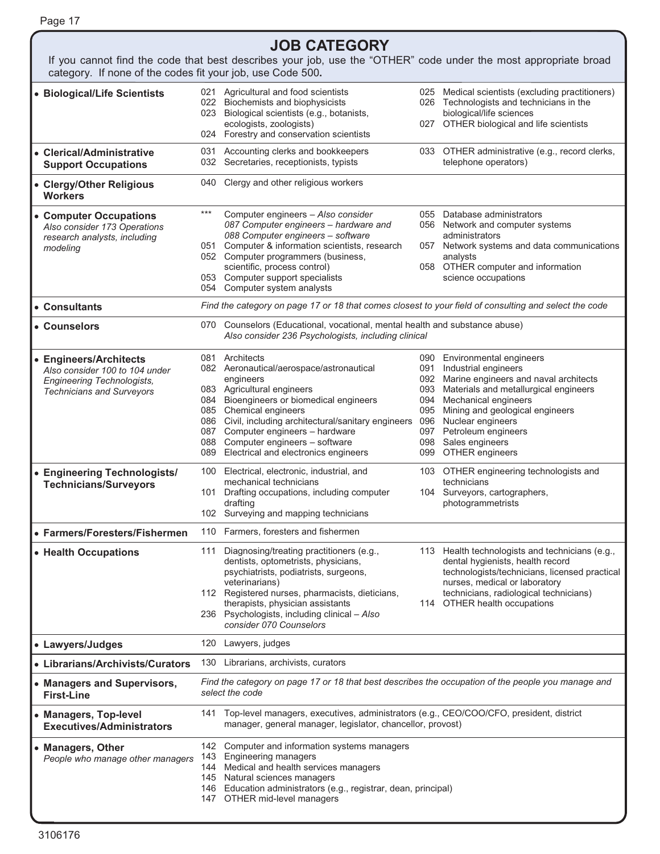| <b>JOB CATEGORY</b>                                                                                                                                                           |                                                                                                                                       |                                                                                                                                                                                                                                                                                                                                                    |            |                                                                                                                                                                                                                                                                                                                |  |  |  |
|-------------------------------------------------------------------------------------------------------------------------------------------------------------------------------|---------------------------------------------------------------------------------------------------------------------------------------|----------------------------------------------------------------------------------------------------------------------------------------------------------------------------------------------------------------------------------------------------------------------------------------------------------------------------------------------------|------------|----------------------------------------------------------------------------------------------------------------------------------------------------------------------------------------------------------------------------------------------------------------------------------------------------------------|--|--|--|
| If you cannot find the code that best describes your job, use the "OTHER" code under the most appropriate broad<br>category. If none of the codes fit your job, use Code 500. |                                                                                                                                       |                                                                                                                                                                                                                                                                                                                                                    |            |                                                                                                                                                                                                                                                                                                                |  |  |  |
| • Biological/Life Scientists                                                                                                                                                  | 021<br>022                                                                                                                            | Agricultural and food scientists<br>Biochemists and biophysicists<br>023 Biological scientists (e.g., botanists,<br>ecologists, zoologists)<br>024 Forestry and conservation scientists                                                                                                                                                            |            | 025 Medical scientists (excluding practitioners)<br>026 Technologists and technicians in the<br>biological/life sciences<br>027 OTHER biological and life scientists                                                                                                                                           |  |  |  |
| • Clerical/Administrative<br><b>Support Occupations</b>                                                                                                                       |                                                                                                                                       | 031 Accounting clerks and bookkeepers<br>032 Secretaries, receptionists, typists                                                                                                                                                                                                                                                                   |            | 033 OTHER administrative (e.g., record clerks,<br>telephone operators)                                                                                                                                                                                                                                         |  |  |  |
| • Clergy/Other Religious<br><b>Workers</b>                                                                                                                                    |                                                                                                                                       | 040 Clergy and other religious workers                                                                                                                                                                                                                                                                                                             |            |                                                                                                                                                                                                                                                                                                                |  |  |  |
| • Computer Occupations<br>Also consider 173 Operations<br>research analysts, including<br>modeling                                                                            | ***<br>051                                                                                                                            | Computer engineers - Also consider<br>087 Computer engineers - hardware and<br>088 Computer engineers - software<br>Computer & information scientists, research<br>052 Computer programmers (business,<br>scientific, process control)<br>053 Computer support specialists<br>054 Computer system analysts                                         | 057        | 055 Database administrators<br>056 Network and computer systems<br>administrators<br>Network systems and data communications<br>analysts<br>058 OTHER computer and information<br>science occupations                                                                                                          |  |  |  |
| • Consultants                                                                                                                                                                 |                                                                                                                                       | Find the category on page 17 or 18 that comes closest to your field of consulting and select the code                                                                                                                                                                                                                                              |            |                                                                                                                                                                                                                                                                                                                |  |  |  |
| • Counselors                                                                                                                                                                  | Counselors (Educational, vocational, mental health and substance abuse)<br>070<br>Also consider 236 Psychologists, including clinical |                                                                                                                                                                                                                                                                                                                                                    |            |                                                                                                                                                                                                                                                                                                                |  |  |  |
| • Engineers/Architects<br>Also consider 100 to 104 under<br><b>Engineering Technologists,</b><br><b>Technicians and Surveyors</b>                                             | 084<br>088                                                                                                                            | 081 Architects<br>082 Aeronautical/aerospace/astronautical<br>engineers<br>083 Agricultural engineers<br>Bioengineers or biomedical engineers<br>085 Chemical engineers<br>086 Civil, including architectural/sanitary engineers<br>087 Computer engineers - hardware<br>Computer engineers - software<br>089 Electrical and electronics engineers | 094<br>095 | 090 Environmental engineers<br>091 Industrial engineers<br>092 Marine engineers and naval architects<br>093 Materials and metallurgical engineers<br>Mechanical engineers<br>Mining and geological engineers<br>096 Nuclear engineers<br>097 Petroleum engineers<br>098 Sales engineers<br>099 OTHER engineers |  |  |  |
| • Engineering Technologists/<br><b>Technicians/Surveyors</b>                                                                                                                  | 101                                                                                                                                   | 100 Electrical, electronic, industrial, and<br>mechanical technicians<br>Drafting occupations, including computer<br>drafting<br>102 Surveying and mapping technicians                                                                                                                                                                             |            | 103 OTHER engineering technologists and<br>technicians<br>104 Surveyors, cartographers,<br>photogrammetrists                                                                                                                                                                                                   |  |  |  |
| • Farmers/Foresters/Fishermen                                                                                                                                                 |                                                                                                                                       | 110 Farmers, foresters and fishermen                                                                                                                                                                                                                                                                                                               |            |                                                                                                                                                                                                                                                                                                                |  |  |  |
| • Health Occupations                                                                                                                                                          | 111                                                                                                                                   | Diagnosing/treating practitioners (e.g.,<br>dentists, optometrists, physicians,<br>psychiatrists, podiatrists, surgeons,<br>veterinarians)<br>112 Registered nurses, pharmacists, dieticians,<br>therapists, physician assistants<br>236 Psychologists, including clinical - Also<br>consider 070 Counselors                                       |            | 113 Health technologists and technicians (e.g.,<br>dental hygienists, health record<br>technologists/technicians, licensed practical<br>nurses, medical or laboratory<br>technicians, radiological technicians)<br>114 OTHER health occupations                                                                |  |  |  |
| • Lawyers/Judges                                                                                                                                                              | 120                                                                                                                                   | Lawyers, judges                                                                                                                                                                                                                                                                                                                                    |            |                                                                                                                                                                                                                                                                                                                |  |  |  |
| • Librarians/Archivists/Curators                                                                                                                                              |                                                                                                                                       | 130 Librarians, archivists, curators                                                                                                                                                                                                                                                                                                               |            |                                                                                                                                                                                                                                                                                                                |  |  |  |
| • Managers and Supervisors,<br><b>First-Line</b>                                                                                                                              |                                                                                                                                       | Find the category on page 17 or 18 that best describes the occupation of the people you manage and<br>select the code                                                                                                                                                                                                                              |            |                                                                                                                                                                                                                                                                                                                |  |  |  |
| • Managers, Top-level<br><b>Executives/Administrators</b>                                                                                                                     | 141                                                                                                                                   | Top-level managers, executives, administrators (e.g., CEO/COO/CFO, president, district<br>manager, general manager, legislator, chancellor, provost)                                                                                                                                                                                               |            |                                                                                                                                                                                                                                                                                                                |  |  |  |
| • Managers, Other<br>People who manage other managers                                                                                                                         | 143<br>144                                                                                                                            | 142 Computer and information systems managers<br><b>Engineering managers</b><br>Medical and health services managers<br>145 Natural sciences managers<br>146 Education administrators (e.g., registrar, dean, principal)<br>147 OTHER mid-level managers                                                                                           |            |                                                                                                                                                                                                                                                                                                                |  |  |  |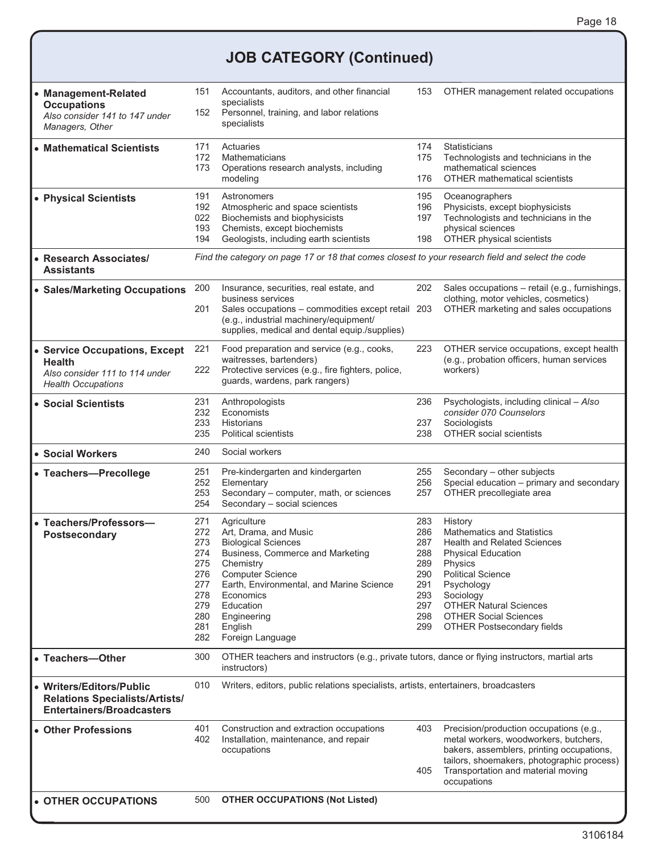### **JOB CATEGORY (Continued)**

| • Management-Related<br><b>Occupations</b><br>Also consider 141 to 147 under<br>Managers, Other               | 151<br>Accountants, auditors, and other financial<br>specialists<br>Personnel, training, and labor relations<br>152<br>specialists |                                                                                                                                                                                                                                                                    | 153                                                                       | OTHER management related occupations                                                                                                                                                                                                                                                    |
|---------------------------------------------------------------------------------------------------------------|------------------------------------------------------------------------------------------------------------------------------------|--------------------------------------------------------------------------------------------------------------------------------------------------------------------------------------------------------------------------------------------------------------------|---------------------------------------------------------------------------|-----------------------------------------------------------------------------------------------------------------------------------------------------------------------------------------------------------------------------------------------------------------------------------------|
| • Mathematical Scientists                                                                                     | 171<br>172<br>173                                                                                                                  | Actuaries<br>Mathematicians<br>Operations research analysts, including<br>modeling                                                                                                                                                                                 | 174<br>175<br>176                                                         | Statisticians<br>Technologists and technicians in the<br>mathematical sciences<br><b>OTHER</b> mathematical scientists                                                                                                                                                                  |
| • Physical Scientists                                                                                         | 191<br>192<br>022<br>193<br>194                                                                                                    | Astronomers<br>Atmospheric and space scientists<br>Biochemists and biophysicists<br>Chemists, except biochemists<br>Geologists, including earth scientists                                                                                                         | 195<br>196<br>197<br>198                                                  | Oceanographers<br>Physicists, except biophysicists<br>Technologists and technicians in the<br>physical sciences<br>OTHER physical scientists                                                                                                                                            |
| • Research Associates/<br>Assistants                                                                          | Find the category on page 17 or 18 that comes closest to your research field and select the code                                   |                                                                                                                                                                                                                                                                    |                                                                           |                                                                                                                                                                                                                                                                                         |
| • Sales/Marketing Occupations                                                                                 | 200<br>201                                                                                                                         | Insurance, securities, real estate, and<br>business services<br>Sales occupations - commodities except retail 203<br>(e.g., industrial machinery/equipment/<br>supplies, medical and dental equip./supplies)                                                       | 202                                                                       | Sales occupations - retail (e.g., furnishings,<br>clothing, motor vehicles, cosmetics)<br>OTHER marketing and sales occupations                                                                                                                                                         |
| • Service Occupations, Except<br><b>Health</b><br>Also consider 111 to 114 under<br><b>Health Occupations</b> | 221<br>222                                                                                                                         | Food preparation and service (e.g., cooks,<br>waitresses, bartenders)<br>Protective services (e.g., fire fighters, police,<br>guards, wardens, park rangers)                                                                                                       | 223                                                                       | OTHER service occupations, except health<br>(e.g., probation officers, human services<br>workers)                                                                                                                                                                                       |
| • Social Scientists                                                                                           | 231<br>232<br>233<br>235                                                                                                           | Anthropologists<br>Economists<br><b>Historians</b><br><b>Political scientists</b>                                                                                                                                                                                  | 236<br>237<br>238                                                         | Psychologists, including clinical - Also<br>consider 070 Counselors<br>Sociologists<br><b>OTHER social scientists</b>                                                                                                                                                                   |
| <b>• Social Workers</b>                                                                                       | 240                                                                                                                                | Social workers                                                                                                                                                                                                                                                     |                                                                           |                                                                                                                                                                                                                                                                                         |
| • Teachers-Precollege                                                                                         | 251<br>252<br>253<br>254                                                                                                           | Pre-kindergarten and kindergarten<br>Elementary<br>Secondary - computer, math, or sciences<br>Secondary - social sciences                                                                                                                                          | 255<br>256<br>257                                                         | Secondary - other subjects<br>Special education - primary and secondary<br>OTHER precollegiate area                                                                                                                                                                                     |
| • Teachers/Professors-<br><b>Postsecondary</b>                                                                | 271<br>272<br>273<br>274<br>275<br>276<br>277<br>278<br>279<br>280<br>281<br>282                                                   | Agriculture<br>Art, Drama, and Music<br><b>Biological Sciences</b><br>Business, Commerce and Marketing<br>Chemistry<br><b>Computer Science</b><br>Earth, Environmental, and Marine Science<br>Economics<br>Education<br>Engineering<br>English<br>Foreign Language | 283<br>286<br>287<br>288<br>289<br>290<br>291<br>293<br>297<br>298<br>299 | History<br>Mathematics and Statistics<br><b>Health and Related Sciences</b><br><b>Physical Education</b><br><b>Physics</b><br><b>Political Science</b><br>Psychology<br>Sociology<br><b>OTHER Natural Sciences</b><br><b>OTHER Social Sciences</b><br><b>OTHER Postsecondary fields</b> |
| • Teachers-Other                                                                                              | 300                                                                                                                                | OTHER teachers and instructors (e.g., private tutors, dance or flying instructors, martial arts<br>instructors)                                                                                                                                                    |                                                                           |                                                                                                                                                                                                                                                                                         |
| • Writers/Editors/Public<br><b>Relations Specialists/Artists/</b><br><b>Entertainers/Broadcasters</b>         | 010<br>Writers, editors, public relations specialists, artists, entertainers, broadcasters                                         |                                                                                                                                                                                                                                                                    |                                                                           |                                                                                                                                                                                                                                                                                         |
| • Other Professions                                                                                           | 401<br>402                                                                                                                         | Construction and extraction occupations<br>Installation, maintenance, and repair<br>occupations                                                                                                                                                                    | 403<br>405                                                                | Precision/production occupations (e.g.,<br>metal workers, woodworkers, butchers,<br>bakers, assemblers, printing occupations,<br>tailors, shoemakers, photographic process)<br>Transportation and material moving<br>occupations                                                        |
| • OTHER OCCUPATIONS                                                                                           |                                                                                                                                    | <b>OTHER OCCUPATIONS (Not Listed)</b>                                                                                                                                                                                                                              |                                                                           |                                                                                                                                                                                                                                                                                         |